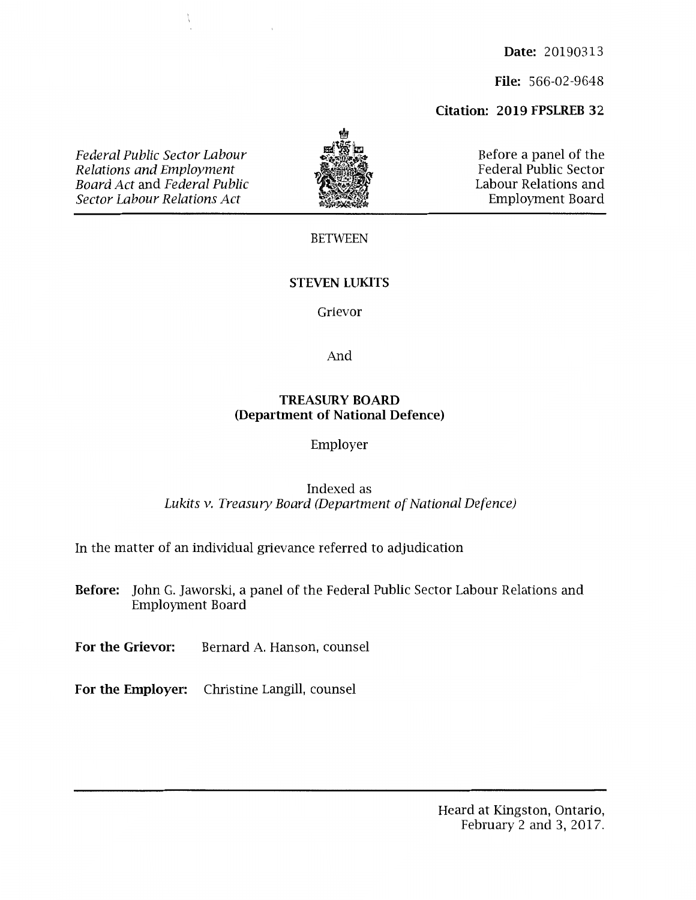**Date:** 20190313

**File:** 566-02-9648

# **Citation: 2019 FPSLREB 32**

*Federal Public Sector Labour Relations and Employment Board Act* and *Federal Public Sector Labour Relations Act* 



Before a panel of the Federal Public Sector Labour Relations and Employment Board

#### BETWEEN

### **STEVEN LUKITS**

#### Grievor

And

#### **TREASURY BOARD (Department of National Defence)**

#### Employer

## Indexed as *Lukits v. Treasury Board (Department of National Defence)*

In the matter of an individual grievance referred to adjudication

**Before:** John G. Jaworski, a panel of the Federal Public Sector Labour Relations and Employment Board

For the Grievor: Bernard A. Hanson, counsel

**For the Employer:** Christine Langill, counsel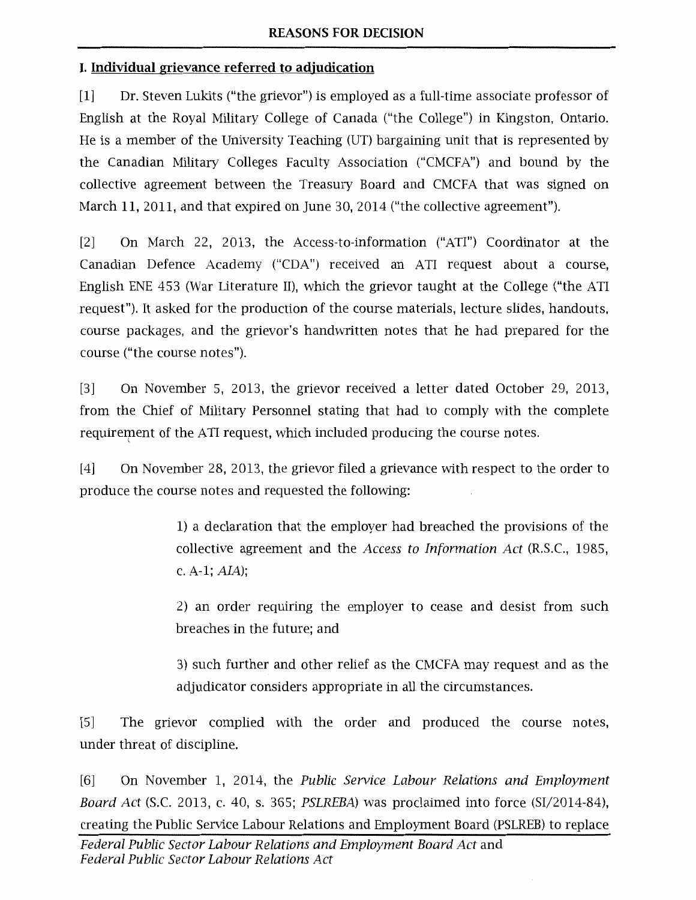# **I. Individual grievance referred to adjudication**

[1] Dr. Steven Lukits ("the grievor") is employed as a full-time associate professor of English at the Royal Military College of Canada ("the College") in Kingston, Ontario. He is a member of the University Teaching (UT) bargaining unit that is represented by the Canadian Military Colleges Faculty Association ("CMCFA") and bound by the collective agreement between the Treasury Board and CMCFA that was signed on March 11, 2011, and that expired on June 30, 2014 ("the collective agreement").

[2] On March 22, 2013, the Access-to-information ("ATI") Coordinator at the Canadian Defence Academy ("CDA") received an ATI request about a course, English ENE 453 (War Literature II), which the grievor taught at the College ("the ATI request"). It asked for the production of the course materials, lecture slides, handouts, course packages, and the grievor's handwritten notes that he had prepared for the course ("the course notes").

[3] On November 5, 2013, the grievor received a letter dated October 29, 2013, from the Chief of Military Personnel stating that had to comply with the complete requirement of the ATI request, which included producing the course notes.  $\zeta$ 

[4] On November 28, 2013, the grievor filed a grievance with respect to the order to produce the course notes and requested the following:

> 1) a declaration that the employer had breached the provisions of the collective agreement and the Access to Information Act (R.S.C., 1985, c. A-1;  $AIA$ );

> 2) an order requiring the employer to cease and desist from such breaches in the future; and

> 3) such further and other relief as the CMCFA may request and as the adjudicator considers appropriate in all the circumstances.

[5] The grievor complied with the order and produced the course notes, under threat of discipline.

[6] On November 1, 2014, the Public Service Labour Relations and Employment Board Act (S.C. 2013, c. 40, s. 365; PSLREBA) was proclaimed into force (SI/2014-84), creating the Public Service Labour Relations and Employment Board (PSLREB) to replace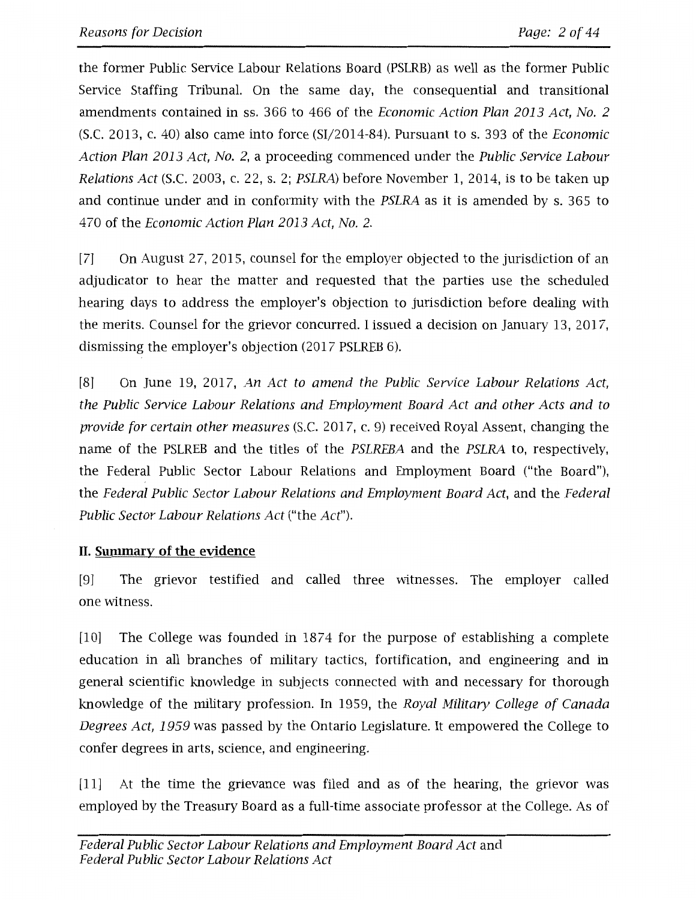the former Public Service Labour Relations Board (PSLRB) as well as the former Public Service Staffing Tribunal. On the same day, the consequential and transitional amendments contained in ss. 366 to 466 of the Economic Action Plan 2013 Act, No. 2 (S.C. 2013, c. 40) also came into force (SI/2014-84). Pursuant to s. 393 of the Economic Action Plan 2013 Act, No. 2, a proceeding commenced under the Public Service Labour Relations Act (S.C. 2003, c. 22, s. 2; PSLRA) before November 1, 2014, is to be taken up and continue under and in conformity with the PSLRA as it is amended by s. 365 to 470 of the Economic Action Plan 2013 Act, No. 2.

[7] On August 27, 2015, counsel for the employer objected to the jurisdiction of an adjudicator to hear the matter and requested that the parties use the scheduled hearing days to address the employer's objection to jurisdiction before dealing with the merits. Counsel for the grievor concurred. I issued a decision on January 13, 2017, dismissing the employer's objection (2017 PSLREB 6).

[8] On June 19, 2017, An Act to amend the Public Service Labour Relations Act, the Public Service Labour Relations and Employment Board Act and other Acts and to provide for certain other measures (S.C. 2017, c. 9) received Royal Assent, changing the name of the PSLREB and the titles of the PSLREBA and the PSLRA to, respectively, the Federal Public Sector Labour Relations and Employment Board ("the Board"), the Federal Public Sector Labour Relations and Employment Board Act, and the Federal Public Sector Labour Relations Act ("the Act").

# **II. Summary of the evidence**

[9] The grievor testified and called three witnesses. The employer called one witness.

[10] The College was founded in 1874 for the purpose of establishing a complete education in all branches of military tactics, fortification, and engineering and in general scientific knowledge in subjects connected with and necessary for thorough knowledge of the military profession. In 1959, the Royal Military College of Canada Degrees Act, 1959 was passed by the Ontario Legislature. It empowered the College to confer degrees in arts, science, and engineering.

[11] At the time the grievance was filed and as of the hearing, the grievor was employed by the Treasury Board as a full-time associate professor at the College. As of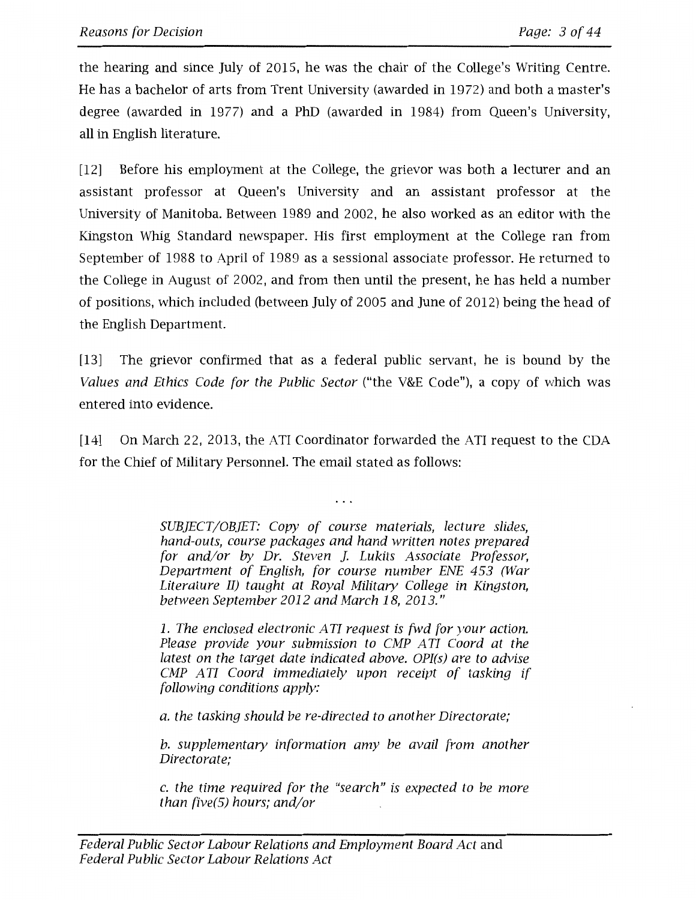the hearing and since July of 2015, he was the chair of the College's Writing Centre. He has a bachelor of arts from Trent University (awarded in 1972) and both a master's degree (awarded in 1977) and a PhD (awarded in 1984) from Queen's University, all in English literature.

[12] Before his employment at the College, the grievor was both a lecturer and an assistant professor at Queen's University and an assistant professor at the University of Manitoba. Between 1989 and 2002, he also worked as an editor with the Kingston Whig Standard newspaper. His first employment at the College ran from September of 1988 to April of 1989 as a sessional associate professor. He returned to the College in August of 2002, and from then until the present, he has held a number of positions, which included (between July of 2005 and June of 2012) being the head of the English Department.

[13] The grievor confirmed that as a federal public servant, he is bound by the *Values and Ethics Code for the Public Sector* ("the V&E Code"), a copy of which was entered into evidence.

[14] On March 22, 2013, the ATI Coordinator forwarded the ATI request to the CDA for the Chief of Military Personnel. The email stated as follows:

 $\cdots$ 

*SUBJECT/OBJET: Copy of course materials, lecture slides, hand-outs, course packages and hand written notes prepared for and/or by Dr. Steven ]. Lukits Associate Professor, Department of English, for course number ENE 453 (War Literature II) taught at Royal Military College in Kingston, between September 2012 and March 18, 2013."* 

*1. The enclosed electronic ATI request is fwd for your action. Please provide your submission to CMP ATI Coard at the latest on the target date indicated above. OPI(s) are to advise CMP A TI Coard immediately upon receipt of tasking if fallowing conditions apply:* 

*a. the tasking should be re-directed to another Directorate;* 

*b. supplementary information amy be avail from another Directorate;* 

*c. the time required for the "search" is expected to be more than five(5) hours; and/or*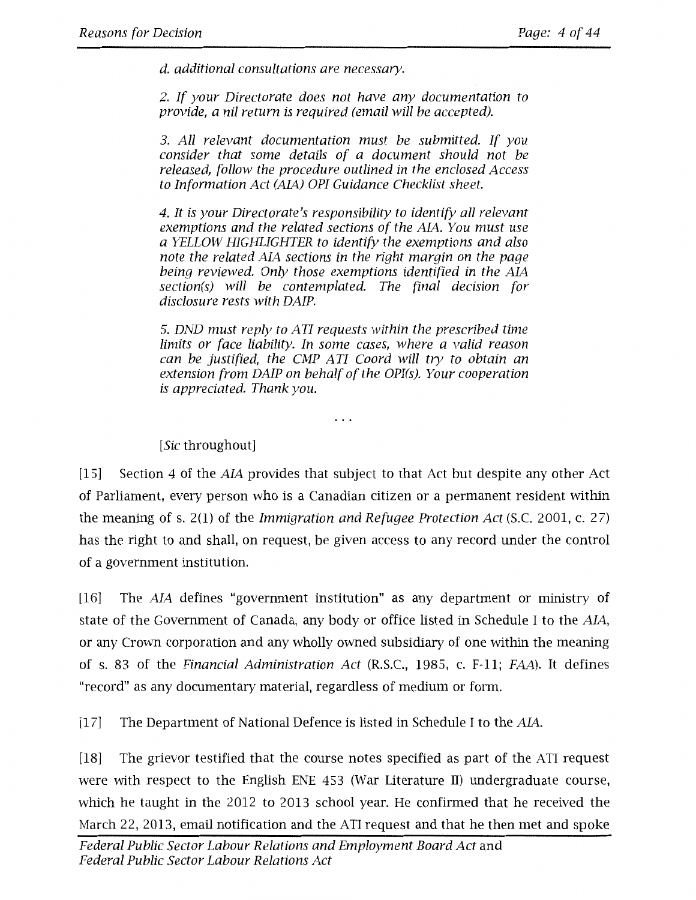*d. additional consultations are necessary.* 

*2. If your Directorate does not have any documentation to provide, a nil return is required (email will be accepted).* 

*3. All relevant documentation must be submitted. If you consider that some details of a document should not be released, follow the procedure outlined in the enclosed Access to Information Act (AL4.) OPI Guidance Checklist sheet.* 

*4. It is your Directorate's responsibility to identify all relevant*  exemptions and the related sections of the AIA. You must use *a YELLOW HIGHLIGHTER to identify the exemptions and also note the related AJA sections in the right margin on the page*  being reviewed. Only those exemptions identified in the AIA *section(s) will be contemplated. The final decision for disclosure rests with DAIP.* 

5. *DND must reply to A TI requests within the prescribed time limits or face liability. In some cases, where a valid reason can be justified, the CMP ATI Coard will try to obtain an extension from DAIP on behalf of the OPI(s). Your cooperation is appreciated. Thank you.* 

 $\cdots$ 

*[Sic* throughout]

[15] Section 4 of the *AL4.* provides that subject to that Act but despite any other Act of Parliament, every person who is a Canadian citizen or a permanent resident within the meaning of s. 2(1) of the *Immigration and Refugee Protection Act* (S.C. 2001, c. 27) has the right to and shall, on request, be given access to any record under the control of a government institution.

[16] The *AL4.* defines "government institution" as any department or ministry of state of the Government of Canada, any body or office listed in Schedule I to the AIA, or any Crown corporation and any wholly owned subsidiary of one within the meaning of s. 83 of the *Financial Administration Act* (R.S.C., 1985, c. F-11; *FAA).* It defines "record" as any documentary material, regardless of medium or form.

[17] The Department of National Defence is listed in Schedule I to the AIA.

[18] The grievor testified that the course notes specified as part of the ATI request were with respect to the English ENE 453 (War Literature II) undergraduate course, which he taught in the 2012 to 2013 school year. He confirmed that he received the March 22, 2013, email notification and the ATI request and that he then met and spoke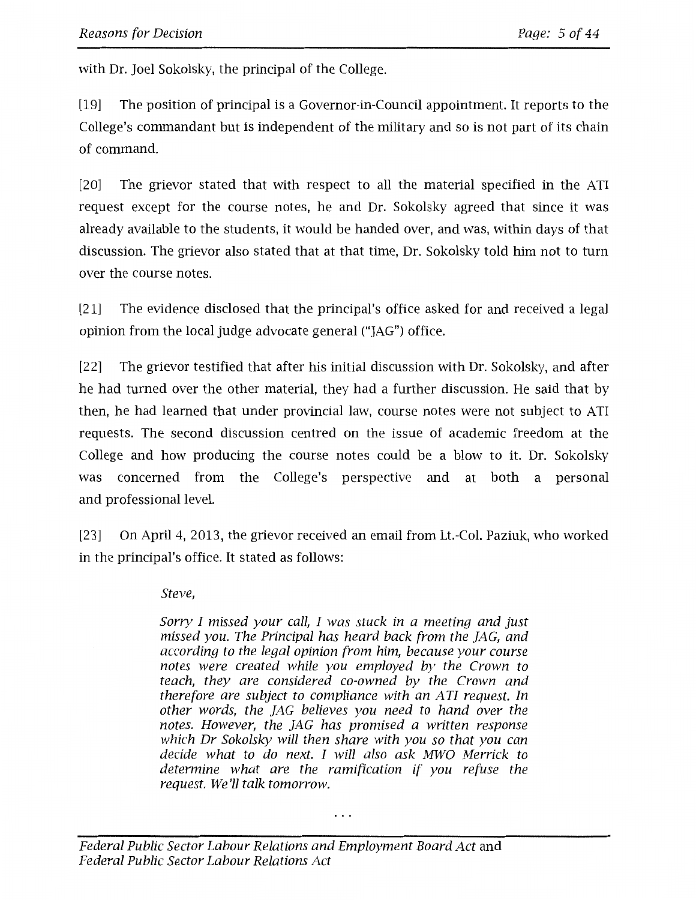with Dr. Joel Sokolsky, the principal of the College.

[19] The position of principal is a Governor-in-Council appointment. It reports to the College's commandant but is independent of the military and so is not part of its chain of command.

[20] The grievor stated that with respect to all the material specified in the ATI request except for the course notes, he and Dr. Sokolsky agreed that since it was already available to the students, it would be handed over, and was, within days of that discussion. The grievor also stated that at that time, Dr. Sokolsky told him not to turn over the course notes.

[21] The evidence disclosed that the principal's office asked for and received a legal opinion from the local judge advocate general ("JAG") office.

[22] The grievor testified that after his initial discussion with Dr. Sokolsky, and after he had turned over the other material, they had a further discussion. He said that by then, he had learned that under provincial law, course notes were not subject to ATI requests. The second discussion centred on the issue of academic freedom at the College and how producing the course notes could be a blow to it. Dr. Sokolsky was concerned from the College's perspective and at both a personal and professional level.

[23] On April 4, 2013, the grievor received an email from Lt.-Col. Paziuk, who worked in the principal's office. It stated as follows:

*Steve,* 

*Sorry I missed your call, I was stuck in a meeting and just missed you. The Principal has heard back from the JAG, and according to the legal opinion from him, because your course notes were created while you employed by the Crown to teach, they are considered co-owned by the Crown and therefore are subject to compliance with an ATI request. In other words, the JAG believes you need to hand over the notes. However, the JAG has promised a written response which Dr Sokolsky will then share with you so that you can decide what to do next. I will also ask MWO Merrick to determine what are the ramification if you refuse the request. We'll talk tomorrow.*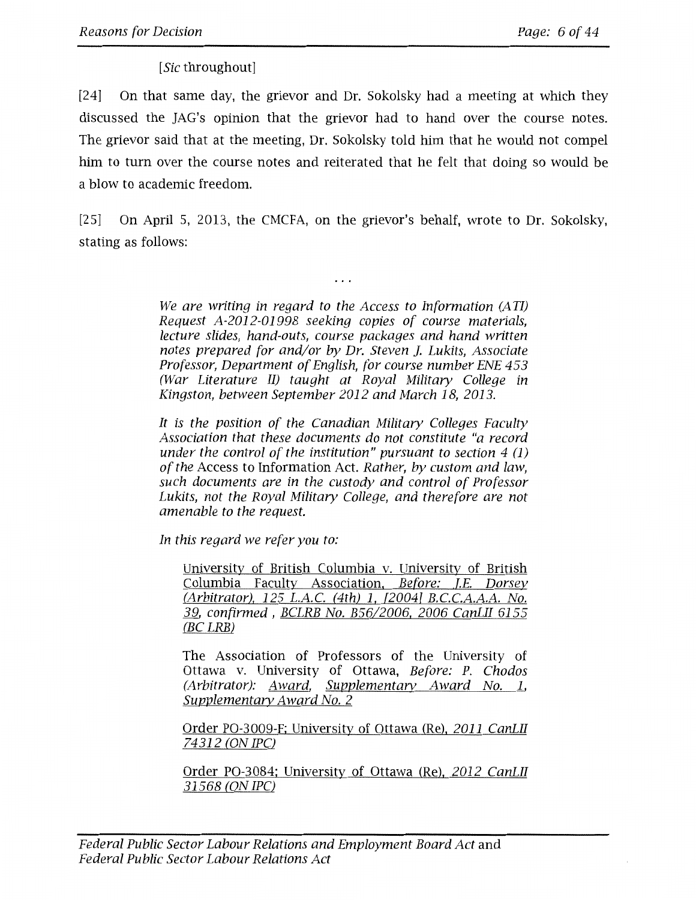*[Sic* throughout]

[24] On that same day, the grievor and Dr. Sokolsky had a meeting at which they discussed the JAG's opinion that the grievor had to hand over the course notes. The grievor said that at the meeting, Dr. Sokolsky told him that he would not compel him to turn over the course notes and reiterated that he felt that doing so would be a blow to academic freedom.

[25] On April 5, 2013, the CMCFA, on the grievor's behalf, wrote to Dr. Sokolsky, stating as follows:

. . .

*We are writing in regard to the Access to Information (A TI) Request A-2012-01998 seeking copies of course materials, lecture slides, hand-outs, course packages and hand written notes prepared for and/or by Dr. Steven]. Lukits, Associate Professor, Department of English, for course number ENE 453 (War Literature II) taught at Royal Military College in Kingston, between September 2012 and March 18, 2013.* 

*It is the position of the Canadian Military Colleges Faculty Association that these documents do not constitute "a record under the control of the institution" pursuant to section 4 (1) of the* Access to Information Act. *Rather, by custom and law, such documents are in the custody and control of Professor*  Lukits, not the Royal Military College, and therefore are not *amenable to the request.* 

*In this regard we refer you to:* 

University of British Columbia v. University of British Columbia Faculty Association, *Before: T.E. Dorsey (Arbitrator), 125* L.A.C. *(4th) 1, {20041* B.C.C.A.A.A. *No. 1f1., confirmed* , *BCLRB No. B56/2006, 2006 CanLII 6155 (BC LRB)* 

The Association of Professors of the University of Ottawa v. University of Ottawa, *Before: P. Chodos (Arbitrator): Award, Supplementary Award No. 1, Supplementary Award No. 2* 

Order PO-3009-F; University of Ottawa (Re), *2011 CanLII 14312 (ON IPC)* 

Order PO-3084: University of Ottawa (Re), *2012 CanLII 31568 (ON IPC)*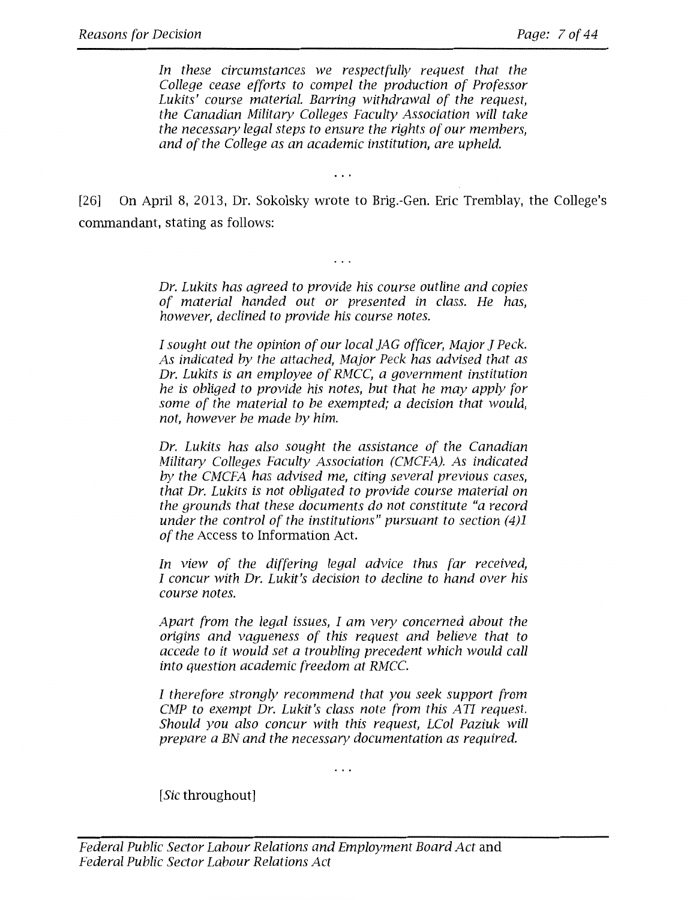In these circumstances we respectfully request that the *College cease efforts to compel the production of Professor Lukits' course material. Barring withdrawal of the request, the Canadian Military Colleges Faculty Association will take the necessary legal steps to ensure the rights of our members, and of the College as an academic institution, are upheld.* 

[26] On April 8, 2013, Dr. Sokolsky wrote to Brig.-Gen. Eric Tremblay, the College's commandant, stating as follows:

 $\ddots$ 

*Dr. Lukits has agreed to provide his course outline and copies of material handed out or presented in class. He has, however, declined to provide his course notes.* 

 $\cdots$ 

*I sought out the opinion of our local JAG officer, Major J Peck. As indicated by the attached, Major Peck has advised that as Dr. Lukits is an employee of RMCC, a government institution he is obliged to provide his notes, but that he may apply for some of the material to be exempted; a decision that would, not, however be made by him.* 

*Dr. Lukits has also sought the assistance of the Canadian Military Colleges Faculty Association (CMCFA). As indicated by the CMCFA has advised me, citing several previous cases, that Dr. Lukits is not obligated to provide course material on the grounds that these documents do not constitute "a record under the control of the institutions" pursuant to section (4)1 of the* Access to Information Act.

*In view of the differing legal advice thus far received, I concur with Dr. Lukit's decision to decline to hand over his course notes.* 

*Apart from the legal issues, I am very concerned about the origins and vagueness of this request and believe that to accede to it would set a troubling precedent which would call into question academic freedom at RMCC.* 

*I therefore strongly recommend that you seek support from CMP to exempt Dr. Lukit's class note from this ATI request. Should you also concur with this request, LCol Paziuk will prepare a BN and the necessary documentation as required.* 

. . .

*[Sic* throughout]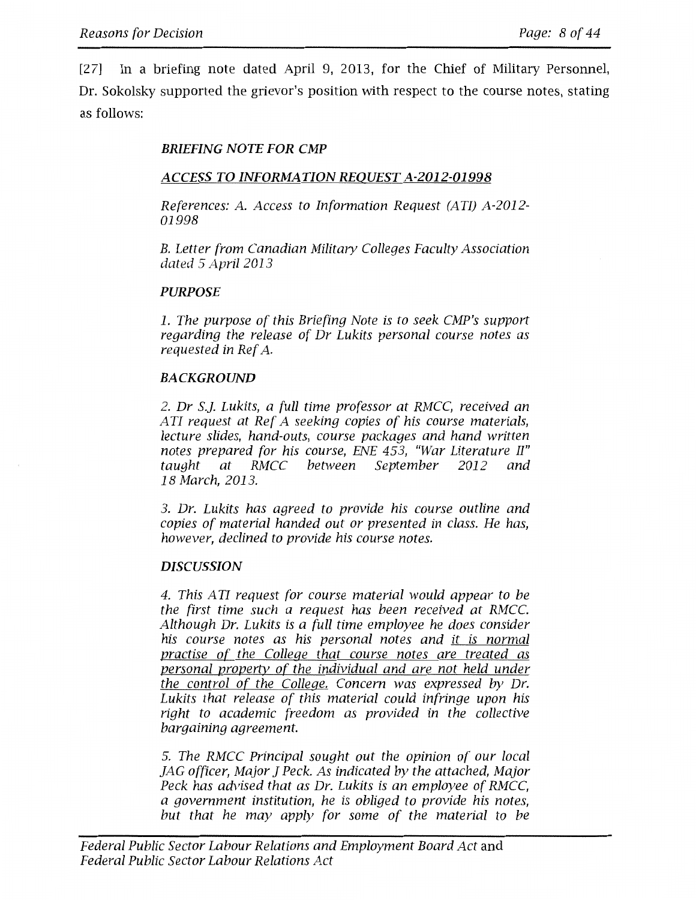[27] In a briefing note dated April 9, 2013, for the Chief of Military Personnel, Dr. Sokolsky supported the grievor's position with respect to the course notes, stating as follows:

## *BRIEFING NOTE FOR CMP*

### *ACCESS TO INFORMATION REQUEST A-2012-01998*

*References: A. Access to Information Request (ATI) A-2012- 01998* 

*B. Letter from Canadian Military Colleges Faculty Association dated 5 April 2013* 

### *PURPOSE*

*1. The purpose of this Briefing Note is to seek CMP's support regarding the release of Dr Lukits personal course notes as requested in Ref A.* 

### *BACKGROUND*

*2. Dr S.]. Lukits, a full time professor at RMCC, received an A TI request at Ref A seeking copies of his course materials, lecture slides, hand-outs, course packages and hand written notes prepared for his course, ENE 453, "War Literature II" taught at RMCC between September 2012 and 18 March, 2013.* 

*3. Dr. Lukits has agreed to provide his course outline and copies of material handed out or presented in class. He has, however, declined to provide his course notes.* 

### *DISCUSSION*

*4. This A TI request for course material would appear to be the first time such a request has been received at RMCC. Although Dr. Lukits is a full time employee he does consider his course notes as his personal notes and it is normal practise of the College that course notes are treated as personal property of the individual and are not held under the control of the College. Concern was expressed by Dr. Lukits that release of this material could infringe upon his right to academic freedom as provided in the collective bargaining agreement.* 

5. *The RMCC Principal sought out the opinion of our local JAG officer, Major J Peck. As indicated by the attached, Major Peck has advised that as Dr. Lukits is an employee of RMCC, a government institution, he is obliged to provide his notes, but that he may apply for some of the material to be*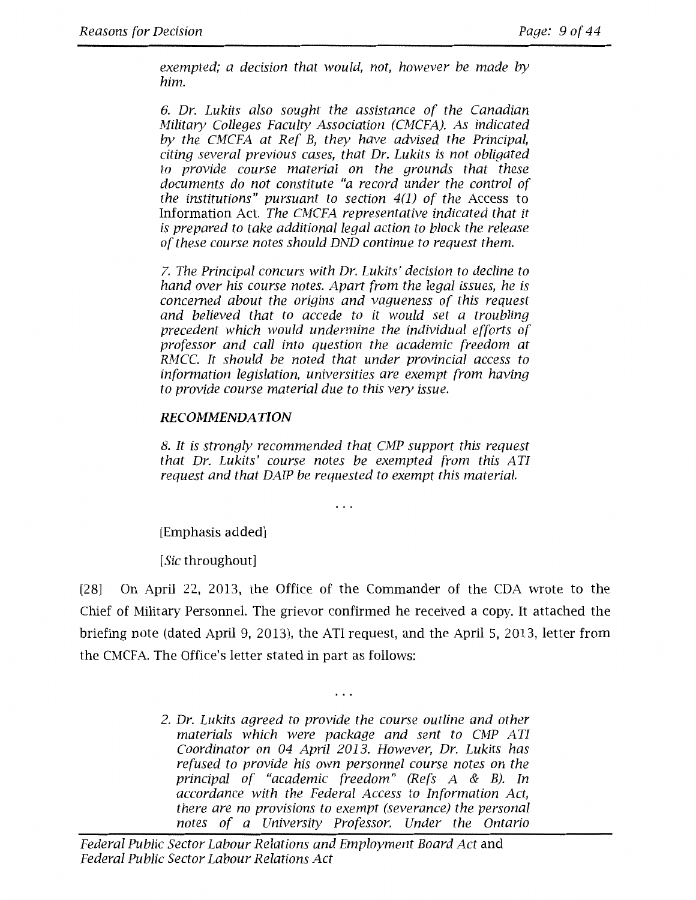*exempted; a decision that would, not, however be made by him.* 

*6. Dr. Lukits also sought the assistance of the Canadian Military Colleges Faculty Association (CMCFA). As indicated by the CMCFA at Ref B, they have advised the Principal, citing several previous cases, that Dr. Lukits is not obligated to provide course material on the grounds that these documents do not constitute "a record under the control of the institutions" pursuant to section 4(1) of the* Access to Information Act. *The CMCFA representative indicated that it is prepared to take additional legal action to block the release of these course notes should DND continue to request them.* 

*7. The Principal concurs with Dr. Lukits' decision to decline to hand over his course notes. Apart from the legal issues, he is concerned about the origins and vagueness of this request and believed that to accede to it would set a troubling precedent which would undermine the individual efforts of professor and call into question the academic freedom at RMCC. It should be noted that under provincial access to information legislation, universities are exempt from having to provide course material due to this very issue.* 

# **RECOMMENDATION**

*8. It is strongly recommended that CMP support this request that Dr. Lukits' course notes be exempted from this ATI request and that DAIP be requested to exempt this material.* 

 $\cdots$ 

[Emphasis added]

*[Sic* throughout]

[28] On April 22, 2013, the Office of the Commander of the CDA wrote to the Chief of Military Personnel. The grievor confirmed he received a copy. It attached the briefing note (dated April 9, 2013), the ATI request, and the April 5, 2013, letter from the CMCFA. The Office's letter stated in part as follows:

> *2. Dr. Lukits agreed to provide the course outline and other*  materials which were package and sent to CMP ATI *Coordinator on 04 April 2013. However, Dr. Lukits has refused to provide his own personnel course notes on the principal of "academic freedom" (Refs A* & *B). In accordance with the Federal Access to Information Act, there are no provisions to exempt (severance) the personal notes of a University Professor. Under the Ontario*

 $\ddotsc$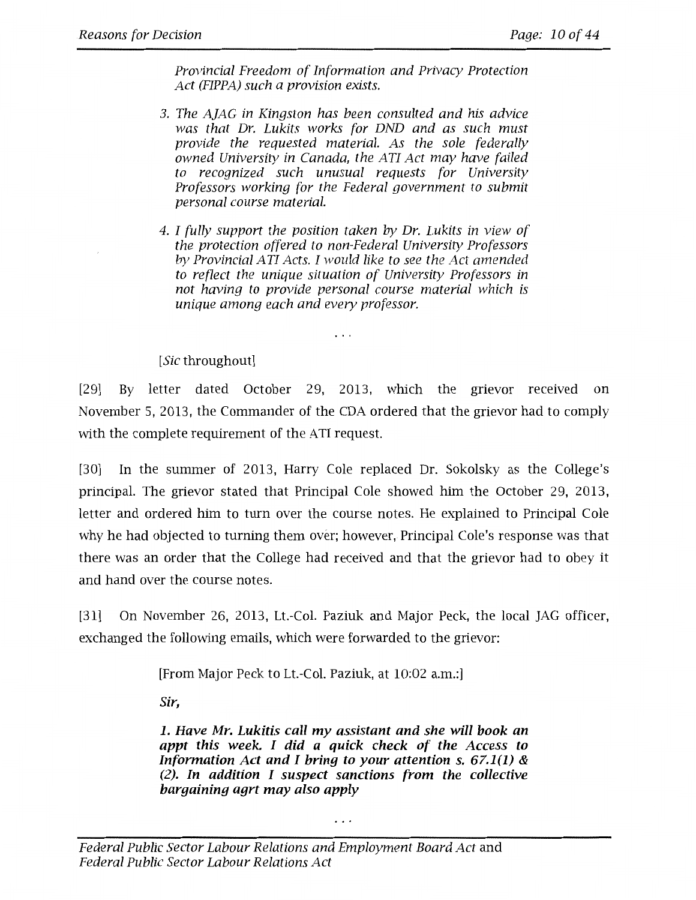*Provincial Freedom of Information and Privacy Protection Act (FIPPA) such a provision exists.* 

- *3. The A]AG in Kingston has been consulted and his advice was that Dr. Lukits works for DND and as such must provide the requested material. As the sole federally owned University in Canada, the A TI Act may have failed to recognized such unusual requests for University Professors working for the Federal government to submit personal course material.*
- *4. I fully support the position taken by Dr. Lukits in view of the protection offered to non-Federal University Professors by Provincial A TI Acts. I would like to see the Act amended*  to reflect the unique situation of University Professors in *not having to provide personal course material which is unique among each and every professor.*

. . .

*[Sic* throughout]

[29] By letter dated October 29, 2013, which the grievor received on November 5, 2013, the Commander of the CDA ordered that the grievor had to comply with the complete requirement of the ATI request.

[30] In the summer of 2013, Harry Cole replaced Dr. Sokolsky as the College's principal. The grievor stated that Principal Cole showed him the October 29, 2013, letter and ordered him to turn over the course notes. He explained to Principal Cole why he had objected to turning them over; however, Principal Cole's response was that there was an order that the College had received and that the grievor had to obey it and hand over the course notes.

[31] On November 26, 2013, Lt.-Col. Paziuk and Major Peck, the local JAG officer, exchanged the following emails, which were forwarded to the grievor:

[From Major Peck to Lt.-Col. Paziuk, at 10:02 a.m.:]

*Sir,* 

**1.** *Have Mr. Lukitis call my assistant and she will book an appt this week. I did a quick check of the Access to Information Act and I bring to your attention s. 67.1(1) &* (2). *In addition* I *suspect sanctions from the collective bargaining agrt may also apply* 

. . .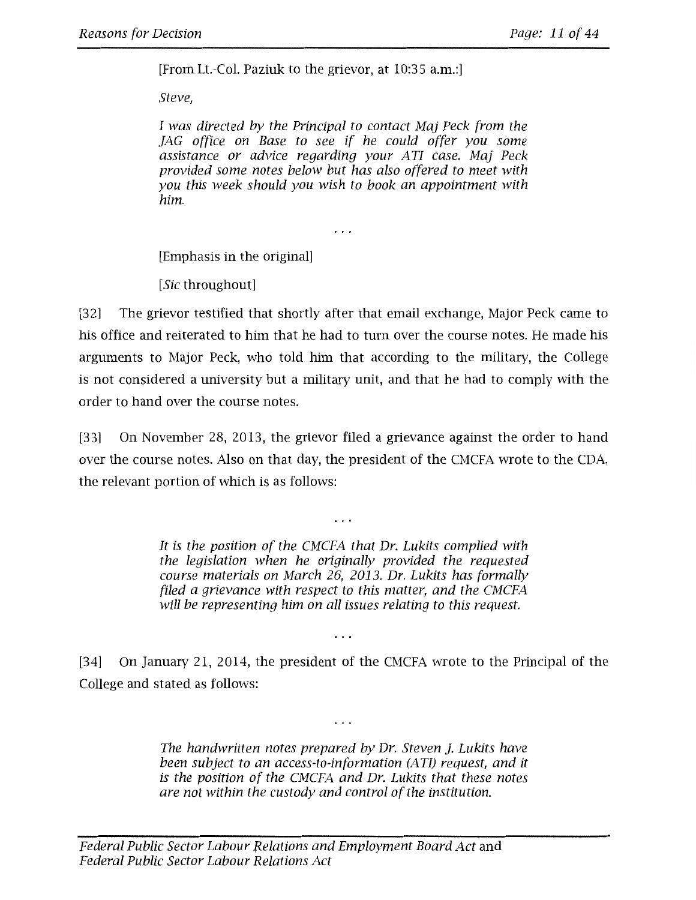[From Lt.-Col. Paziuk to the grievor, at 10:35 a.m.:]

*Steve,* 

*I was directed by the Principal to contact Maj Peck from the JAG office on Base to see if he could offer you some assistance or advice regarding your A TI case. Maj Peck provided some notes below but has also offered to meet with you this week should you wish to book an appointment with him.* 

. . .

[Emphasis in the original]

*[Sic* throughout]

[32] The grievor testified that shortly after that email exchange, Major Peck came to his office and reiterated to him that he had to turn over the course notes. He made his arguments to Major Peck, who told him that according to the military, the College is not considered a university but a military unit, and that he had to comply with the order to hand over the course notes.

[33] On November 28, 2013, the grievor filed a grievance against the order to hand over the course notes. Also on that day, the president of the CMCFA wrote to the CDA, the relevant portion of which is as follows:

 $\ddots$ 

*It is the position of the CMCFA that Dr. Lukits complied with the legislation when he originally provided the requested course materials on March 26, 2013. Dr. Lukits has formally filed a grievance with respect to this matter, and the CMCFA will be representing him on all issues relating to this request.* 

[34] On January 21, 2014, the president of the CMCFA wrote to the Principal of the College and stated as follows:

 $\ldots$ 

*The handwritten notes prepared by Dr. Steven ]. Lukits have been subject to an access-to-information (ATI) request, and it is the position of the CMCFA and Dr. Lukits that these notes are not within the custody and control of the institution.* 

 $\cdots$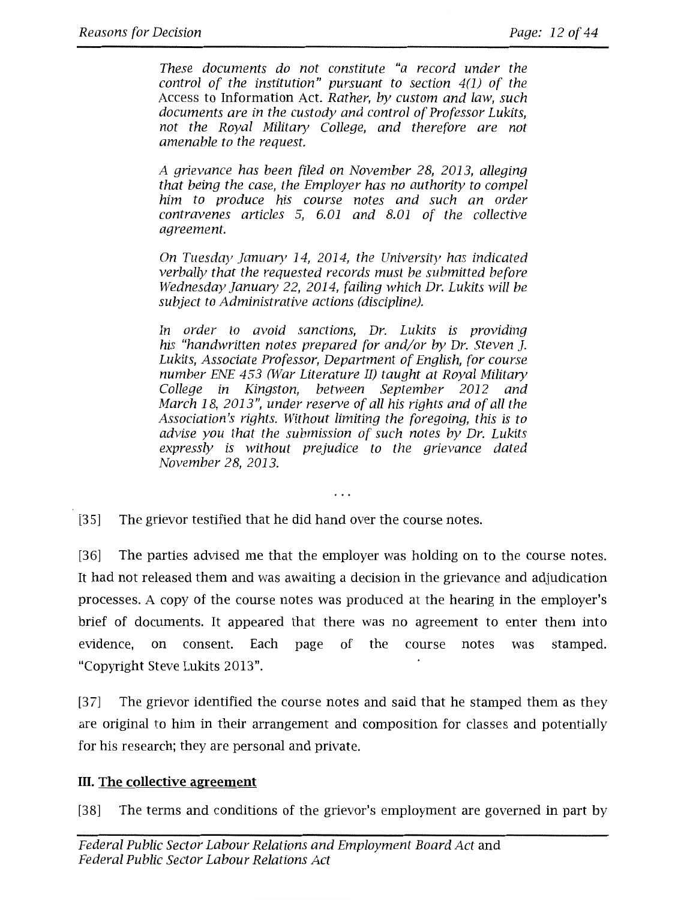*These documents do not constitute "a record under the control of the institution" pursuant to section 4(1) of the*  Access to Information Act. *Rather, by custom and law, such documents are in the custody and control of Professor Lukits, not the Royal Military College, and therefore are not amenable to the request.* 

*A grievance has been filed on November 2 8, 2013, alleging that being the case, the Employer has no authority to compel him to produce his course notes and such an order contravenes articles* 5, *6.01 and 8.01 of the collective agreement.* 

*On Tuesday January 14, 2014, the University has indicated verbally that the requested records must be submitted before Wednesday January 22, 2014, failing which Dr. Lukits will be subject to Administrative actions (discipline).* 

*In order to avoid sanctions, Dr. Lukits is providing his "handwritten notes prepared for and/or by Dr. Steven ]. Lukits, Associate Professor, Department of English, for course number ENE 453 (War Literature II) taught at Royal Military College in Kingston, between September 2012 and March 18, 2013", under reserve of all his rights and of all the Association's rights. Without limiting the foregoing, this is to advise you that the submission of such notes by Dr. Lukits expressly is without prejudice to the grievance dated November 28, 2013.* 

. . .

[35] The grievor testified that he did hand over the course notes.

[36] The parties advised me that the employer was holding on to the course notes. It had not released them and was awaiting a decision in the grievance and adjudication processes. A copy of the course notes was produced at the hearing in the employer's brief of documents. It appeared that there was no agreement to enter them into evidence, on consent. Each page of the course notes was stamped. "Copyright Steve Lukits 2013".

[37] The grievor identified the course notes and said that he stamped them as they are original to him in their arrangement and composition for classes and potentially for his research; they are personal and private.

# III. **The collective agreement**

[38] The terms and conditions of the grievor's employment are governed in part by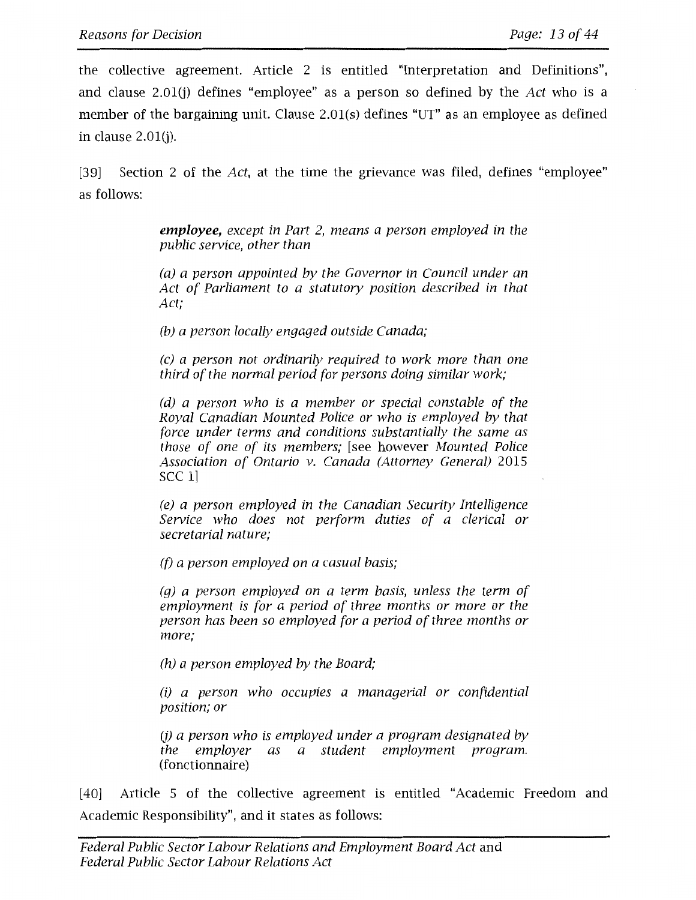the collective agreement. Article 2 is entitled "Interpretation and Definitions", and clause 2.0l(j) defines "employee" as a person so defined by the *Act* who is a member of the bargaining unit. Clause 2.0l(s) defines "UT" as an employee as defined in clause 2.0l(j).

[39] Section 2 of the *Act,* at the time the grievance was filed, defines "employee" as follows:

> **employee,** *except in Part 2, means a person employed in the public service, other than*

> *(a) a person appointed by the Governor in Council under an Act of Parliament to a statutory position described in that Act;*

*(b) a person locally engaged outside Canada;* 

*(c) a person not ordinarily required to work more than one third of the normal period for persons doing similar work;* 

*(d) a person who is a member or special constable of the Royal Canadian Mounted Police or who is employed by that force under terms and conditions substantially the same as those of one of its members;* [see however *Mounted Police Association of Ontario v. Canada (Attorney General)* 2015 sec 1]

*(e) a person employed in the Canadian Security Intelligence Service who does not perform duties of a clerical or secretarial nature;* 

*(f) a person employed on a casual basis;* 

*(g) a person employed on a term basis, unless the term of employment is for a period of three months or more or the person has been so employed for a period of three months or more;* 

*(h) a person employed by the Board;* 

*(i) a person who occupies a managerial or confidential position; or* 

(j) *a person who is employed under a program designated* by *the employer as a student employment program.*  (fonctionnaire)

[40] Article 5 of the collective agreement is entitled "Academic Freedom and Academic Responsibility", and it states as follows: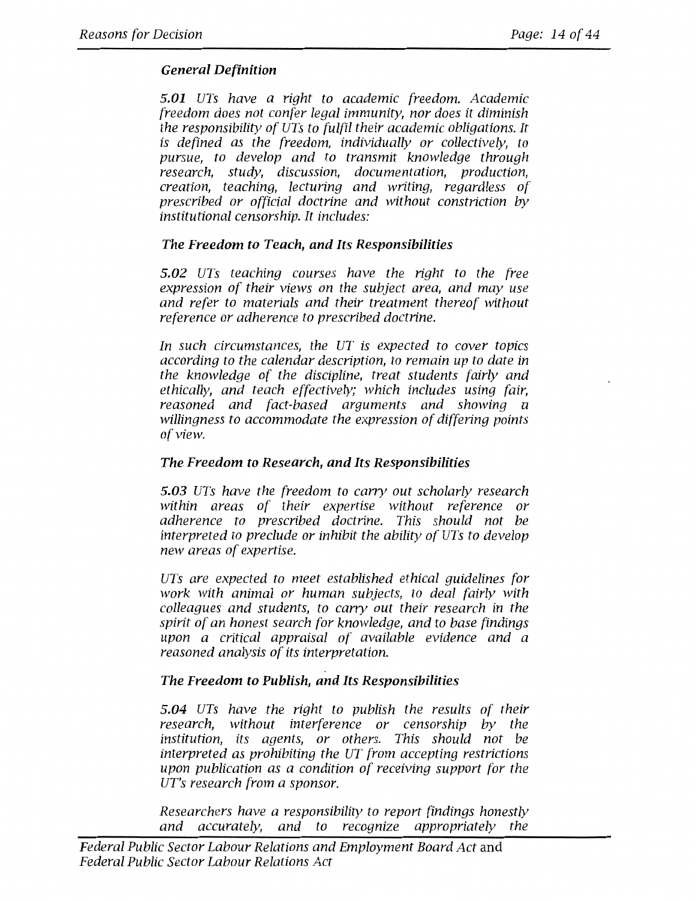# *General Definition*

*5.01 UTs have a right to academic freedom. Academic freedom does not confer legal immunity, nor does it diminish the responsibility of UTs to fulfil their academic obligations. It is defined as the freedom, individually or collectively, to pursue, to develop and to transmit knowledge through research, study, discussion, documentation, production, creation, teaching, lecturing and writing, regardless of prescribed or official doctrine and without constriction by institutional censorship. It includes:* 

# *The Freedom to Teach, and Its Responsibilities*

*5.02 UTs teaching courses have the right to the free expression of their views on the subject area, and may use and refer to materials and their treatment thereof without reference or adherence to prescribed doctrine.* 

*In such circumstances, the UT is expected to cover topics according to the calendar description, to remain up to date in the knowledge of the discipline, treat students fairly and ethically, and teach effectively; which includes using fair, reasoned and fact-based arguments and showing a willingness to accommodate the expression of differing points of view.* 

# *The Freedom to Research, and Its Responsibilities*

*5.03 UTs have the freedom to carry out scholarly research within areas of their expertise without reference or adherence to prescribed doctrine. This should not be interpreted to preclude or inhibit the ability of UTs to develop new areas of expertise.* 

*UTs are expected to meet established ethical guidelines for work with animal or human subjects, to deal fairly with colleagues and students, to carry out their research in the spirit of an honest search for knowledge, and to base findings upon a critical appraisal of available evidence and a reasoned analysis of its interpretation.* 

# *The Freedom to Publish, and Its Responsibilities*

*5.04 UTs have the right to publish the results of their research, without interference or censorship by the institution, its agents, or others. This should not be interpreted as prohibiting the UT from accepting restrictions upon publication as a condition of receiving support for the UT's research from a sponsor.* 

*Researchers have a responsibility to report findings honestly and accurately, and to recognize appropriately the*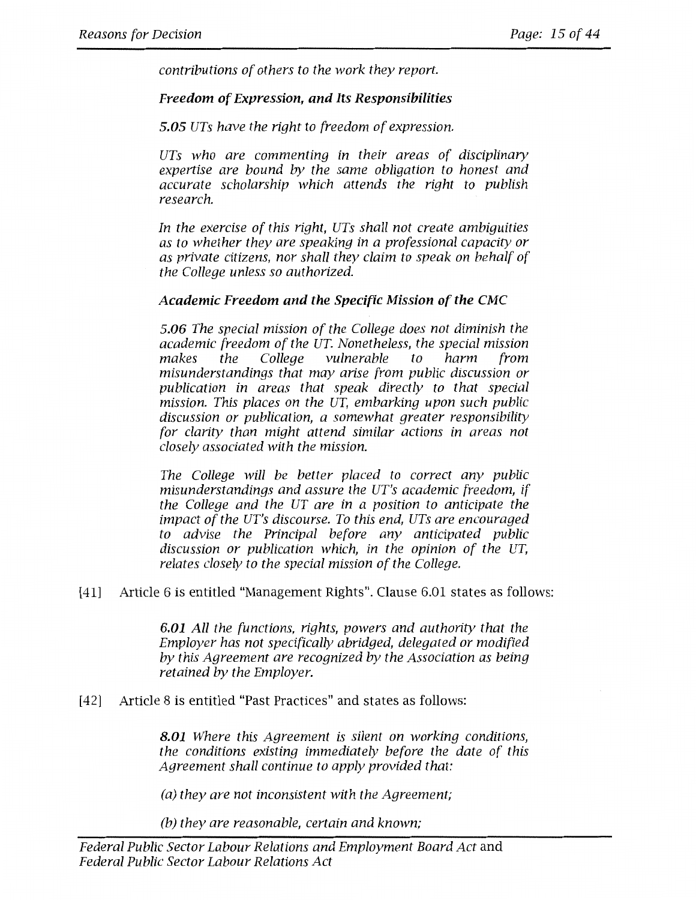*contributions of others to the work they report.* 

## **Freedom of Expression, and Its Responsibilities**

*5.05 UTs have the right to freedom of expression.* 

*UTs who are commenting in their areas of disciplinary expertise are bound by the same obligation to honest and accurate scholarship which attends the right to publish research.* 

*In the exercise of this right, UTs shall not create ambiguities as to whether they are speaking in a professional capacity or as private citizens, nor shall they claim to speak on behalf of the College unless so authorized.* 

### **Academic Freedom and the Specific Mission of the CMC**

*5.06 The special mission of the College does not diminish the academic freedom of the UT. Nonetheless, the special mission makes the College vulnerable to harm from misunderstandings that may arise from public discussion or publication in areas that speak directly to that special mission. This places on the UT, embarking upon such public discussion or publication, a somewhat greater responsibility for clarity than might attend similar actions in areas not closely associated with the mission.* 

*The College will be better placed to correct any public misunderstandings and assure the UT's academic freedom, if the College and the UT are in a position to anticipate the impact of the UT's discourse. To this end, UTs are encouraged to advise the Principal before any anticipated public discussion or publication which, in the opinion of the UT, relates closely to the special mission of the College.* 

[41] Article 6 is entitled "Management Rights". Clause 6.01 states as follows:

**6.01** *All the functions, rights, powers and authority that the Employer has not specifically abridged, delegated or modified by this Agreement are recognized by the Association as being retained by the Employer.* 

[42] Article 8 is entitled "Past Practices" and states as follows:

**8.01** *Where this Agreement is silent on working conditions, the conditions existing immediately before the date of this Agreement shall continue to apply provided that:* 

*(a) they are not inconsistent with the Agreement;* 

*(b) they are reasonable, certain and known;*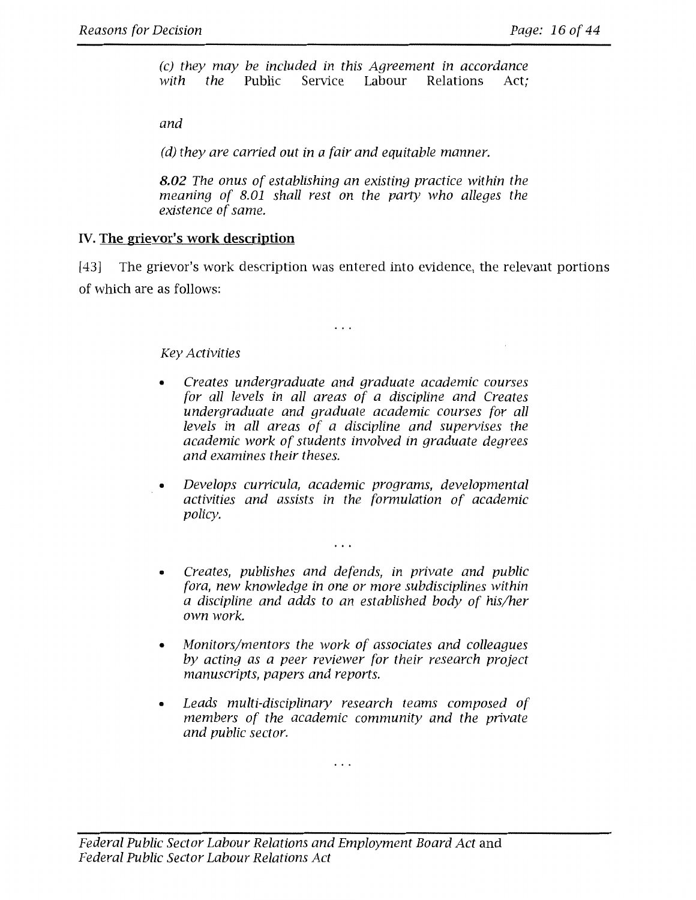*( c) they may be included in this Agreement in accordance Service* Labour

*and* 

*(d) they are carried out in a fair and equitable manner.* 

*8.02 The onus of establishing an existing practice within the meaning of 8.01 shall rest on the party who alleges the existence of same.* 

# **IV. The grievor's work description**

[43] The grievor's work description was entered into evidence, the relevant portions of which are as follows:

 $\cdots$ 

## *Key Activities*

- *Creates undergraduate and graduate academic courses for all levels in all areas of a discipline and Creates undergraduate and graduate academic courses for all levels in all areas of a discipline and supervises the academic work of students involved in graduate degrees and examines their theses.*
- *Develops curricula, academic programs, developmental activities and assists in the formulation of academic policy.*

 $\cdots$ 

- *Creates, publishes and defends, in private and public fora, new knowledge in one or more subdisciplines within a discipline and adds to an established body of his/her own work.*
- *Monitors/mentors the work of associates and colleagues by acting as a peer reviewer for their research project manuscripts, papers and reports.*
- *Leads multi-disciplinary research teams composed of members of the academic community and the private and public sector.*

 $\cdots$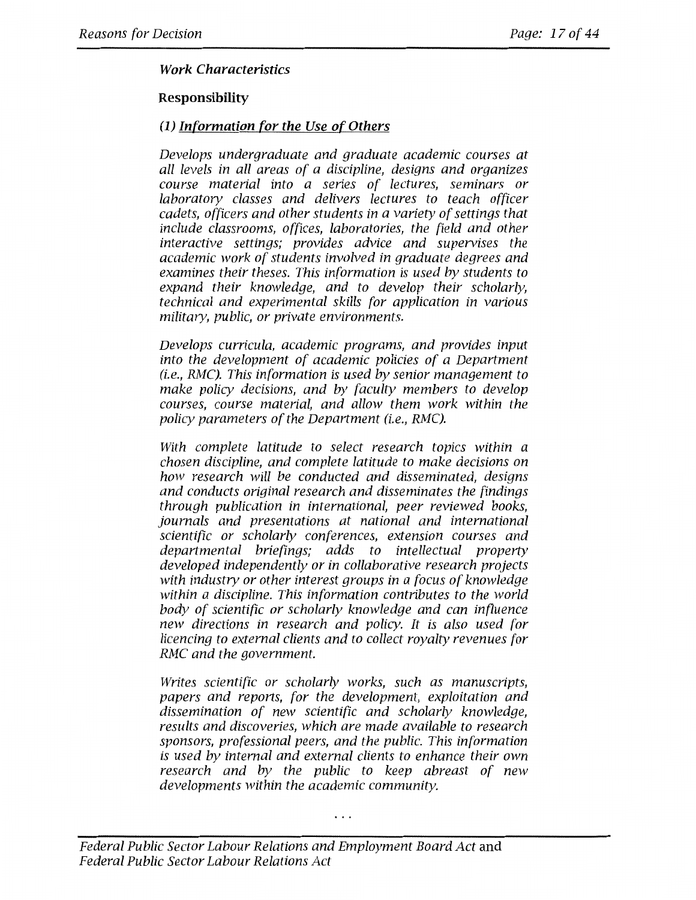## *Work Characteristics*

## **Responsibility**

## **(1)** *Information for the Use of Others*

*Develops undergraduate and graduate academic courses at all levels in all areas of a discipline, designs and organizes course material into a series of lectures, seminars or laboratory classes and delivers lectures to teach officer cadets, officers and other students in a variety of settings that include classrooms, offices, laboratories, the field and other interactive settings; provides advice and supervises the academic work of students involved in graduate degrees and examines their theses. This information is used by students to expand their knowledge, and to develop their scholarly, technical and experimental skills for application in various military, public, or private environments.* 

*Develops curricula, academic programs, and provides input into the development of academic policies of a Department (i.e., RMC). This information is used by senior management to make policy decisions, and by faculty members to develop courses, course material, and allow them work within the policy parameters of the Department (i.e., RMC).* 

*With complete latitude to select research topics within a chosen discipline, and complete latitude to make decisions on how research will be conducted and disseminated, designs and conducts original research and disseminates the findings through publication in international, peer reviewed books, journals and presentations at national and international scientific or scholarly conferences, extension courses and departmental briefings; adds to intellectual property developed independently or in collaborative research projects with industry or other interest groups in a focus of knowledge within a discipline. This information contributes to the world body of scientific or scholarly knowledge and can influence new directions in research and policy. It is also used for licencing to external clients and to collect royalty revenues for RMC and the government.* 

*Writes scientific or scholarly works, such as manuscripts, papers and reports, for the development, exploitation and dissemination of new scientific and scholarly knowledge, results and discoveries, which are made available to research sponsors, professional peers, and the public. This information is used by internal and external clients to enhance their own research and by the public to keep abreast of new developments within the academic community.*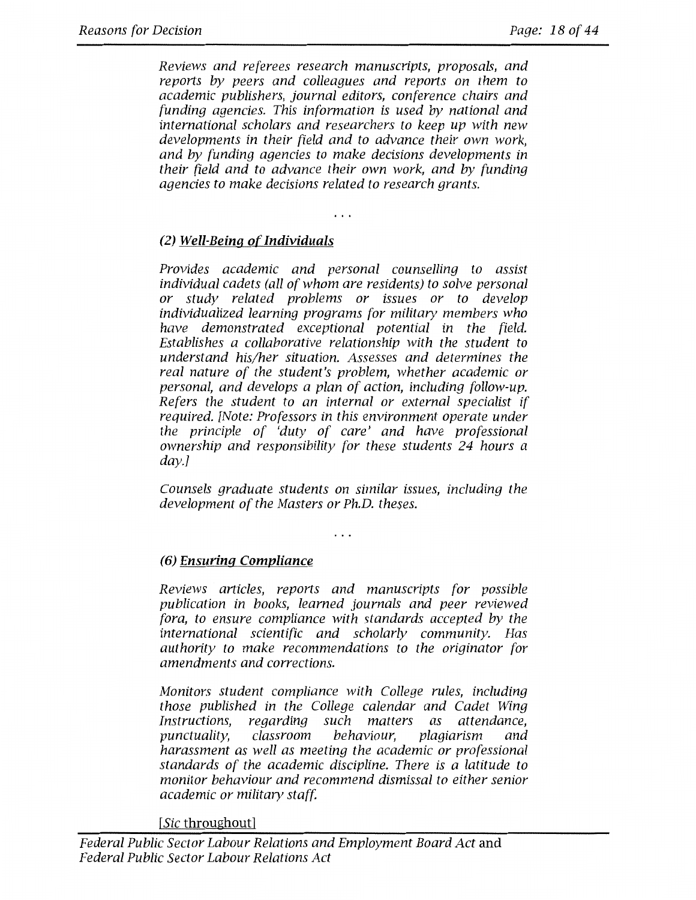*Reviews and referees research manuscripts, proposals, and reports by peers and colleagues and reports on them to academic publishers, journal editors, conference chairs and funding agencies. This information is used by national and international scholars and researchers to keep up with new developments in their field and to advance their own work, and by funding agencies to make decisions developments in their field and to advance their own work, and by funding agencies to make decisions related to research grants.* 

# (2) **Well-Being of Individuals**

*Provides academic and personal counselling to assist individual cadets (all of whom are residents) to solve personal or study related problems or issues or to develop individualized learning programs for military members who have demonstrated exceptional potential in the field. Establishes a collaborative relationship with the student to understand his/her situation. Assesses and determines the real nature of the student's problem, whether academic or personal, and develops a plan of action, including follow-up. Refers the student to an internal or external specialist if required. [Note: Professors in this environment operate under the principle of 'duty of care' and have professional ownership and responsibility for these students 24 hours a day.]* 

*Counsels graduate students on similar issues, including the development of the Masters or Ph.D. theses.* 

# **(6) Ensuring Compliance**

*Reviews articles, reports and manuscripts for possible publication in books, learned journals and peer reviewed fora, to ensure compliance with standards accepted by the international scientific and scholarly community. Has authority to make recommendations to the originator for amendments and corrections.* 

*Monitors student compliance with College rules, including those published in the College calendar and Cadet Wing regarding such matters as punctuality, classroom behaviour, plagiarism and harassment as well as meeting the academic or professional standards of the academic discipline. There is a latitude to monitor behaviour and recommend dismissal to either senior academic or military staff.* 

*[Sic* throughout]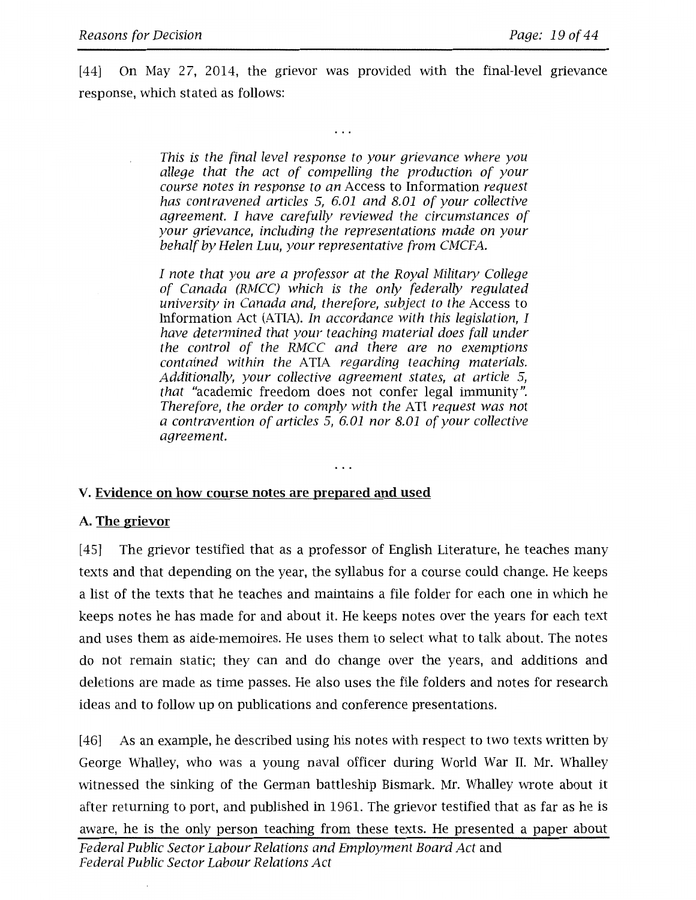[44] On May 27, 2014, the grievor was provided with the final-level grievance response, which stated as follows:

. . .

*This is the final level response to your grievance where you allege that the act of compelling the production of your course notes in response to an* Access to Information *request has contravened articles* 5, *6.01 and 8.01 of your collective agreement. I have carefully reviewed the circumstances of your grievance, including the representations made on your behalf by Helen Luu, your representative from CMCFA.* 

*I note that you are a professor at the Royal Military College of Canada (RMCC) which is the only federally regulated university in Canada and, therefore, subject to the* Access to Information Act (ATIA). *In accordance with this legislation, I have determined that your teaching material does fall under the control of the RMCC and there are no exemptions contained within the* ATIA *regarding teaching materials. Additionally, your collective agreement states, at article* 5, *that* "academic freedom does not confer legal immunity". *Therefore, the order to comply with the* ATI *request was not a contravention of articles* 5, *6.01 nor 8.01 of your collective agreement.* 

. . .

### **V. Evidence on how course notes are prepared and used**

### **A. The grievor**

[45] The grievor testified that as a professor of English Literature, he teaches many texts and that depending on the year, the syllabus for a course could change. He keeps a list of the texts that he teaches and maintains a file folder for each one in which he keeps notes he has made for and about it. He keeps notes over the years for each text and uses them as aide-memoires. He uses them to select what to talk about. The notes do not remain static; they can and do change over the years, and additions and deletions are made as time passes. He also uses the file folders and notes for research ideas and to follow up on publications and conference presentations.

[46] As an example, he described using his notes with respect to two texts written by George Whalley, who was a young naval officer during World War II. Mr. Whalley witnessed the sinking of the German battleship Bismark. Mr. Whalley wrote about it after returning to port, and published in 1961. The grievor testified that as far as he is aware, he is the only person teaching from these texts. He presented a paper about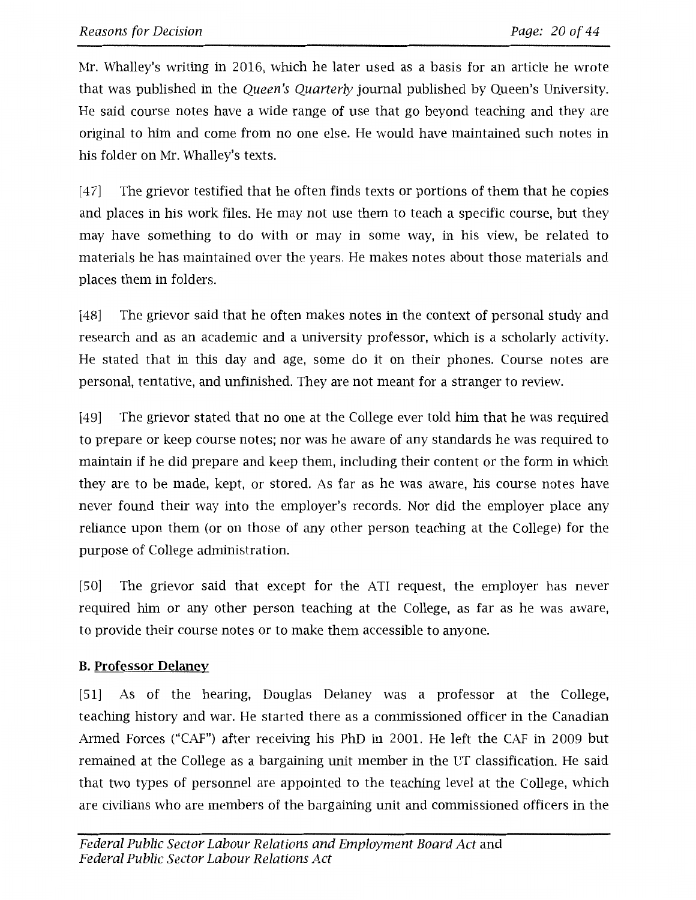Mr. Whalley's writing in 2016, which he later used as a basis for an article he wrote that was published in the *Queen's Quarterly* journal published by Queen's University. He said course notes have a wide range of use that go beyond teaching and they are original to him and come from no one else. He would have maintained such notes in his folder on Mr. Whalley's texts.

[47] The grievor testified that he often finds texts or portions of them that he copies and places in his work files. He may not use them to teach a specific course, but they may have something to do with or may in some way, in his view, be related to materials he has maintained over the years. He makes notes about those materials and places them in folders.

[48] The grievor said that he often makes notes in the context of personal study and research and as an academic and a university professor, which is a scholarly activity. He stated that in this day and age, some do it on their phones. Course notes are personal, tentative, and unfinished. They are not meant for a stranger to review.

[49] The grievor stated that no one at the College ever told him that he was required to prepare or keep course notes; nor was he aware of any standards he was required to maintain if he did prepare and keep them, including their content or the form in which they are to be made, kept, or stored. As far as he was aware, his course notes have never found their way into the employer's records. Nor did the employer place any reliance upon them (or on those of any other person teaching at the College) for the purpose of College administration.

[50] The grievor said that except for the ATI request, the employer has never required him or any other person teaching at the College, as far as he was aware, to provide their course notes or to make them accessible to anyone.

# **B. Professor Delaney**

[51] As of the hearing, Douglas Delaney was a professor at the College, teaching history and war. He started there as a commissioned officer in the Canadian Armed Forces ("CAF") after receiving his PhD in 2001. He left the CAF in 2009 but remained at the College as a bargaining unit member in the UT classification. He said that two types of personnel are appointed to the teaching level at the College, which are civilians who are members of the bargaining unit and commissioned officers in the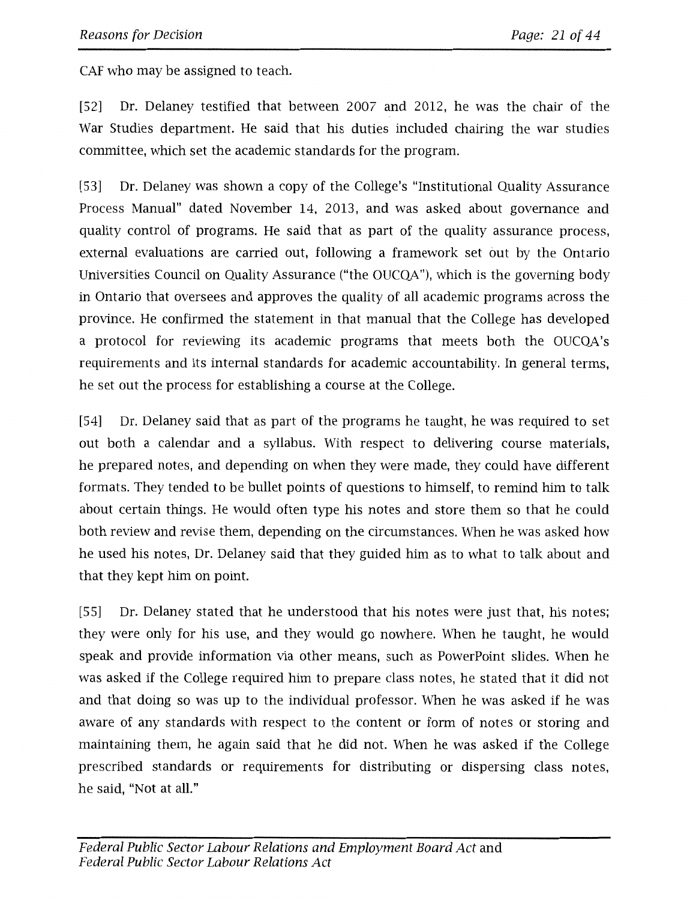CAF who may be assigned to teach.

[52] Dr. Delaney testified that between 2007 and 2012, he was the chair of the War Studies department. He said that his duties included chairing the war studies committee, which set the academic standards for the program.

[53] Dr. Delaney was shown a copy of the College's "Institutional Quality Assurance Process Manual" dated November 14, 2013, and was asked about governance and quality control of programs. He said that as part of the quality assurance process, external evaluations are carried out, following a framework set out by the Ontario Universities Council on Quality Assurance ("the OUCQA"), which is the governing body in Ontario that oversees and approves the quality of all academic programs across the province. He confirmed the statement in that manual that the College has developed a protocol for reviewing its academic programs that meets both the OUCQA's requirements and its internal standards for academic accountability. In general terms, he set out the process for establishing a course at the College.

[54] Dr. Delaney said that as part of the programs he taught, he was required to set out both a calendar and a syllabus. With respect to delivering course materials, he prepared notes, and depending on when they were made, they could have different formats. They tended to be bullet points of questions to himself, to remind him to talk about certain things. He would often type his notes and store them so that he could both review and revise them, depending on the circumstances. When he was asked how he used his notes, Dr. Delaney said that they guided him as to what to talk about and that they kept him on point.

[55] Dr. Delaney stated that he understood that his notes were just that, his notes; they were only for his use, and they would go nowhere. When he taught, he would speak and provide information via other means, such as PowerPoint slides. When he was asked if the College required him to prepare class notes, he stated that it did not and that doing so was up to the individual professor. When he was asked if he was aware of any standards with respect to the content or form of notes or storing and maintaining them, he again said that he did not. When he was asked if the College prescribed standards or requirements for distributing or dispersing class notes, he said, "Not at all."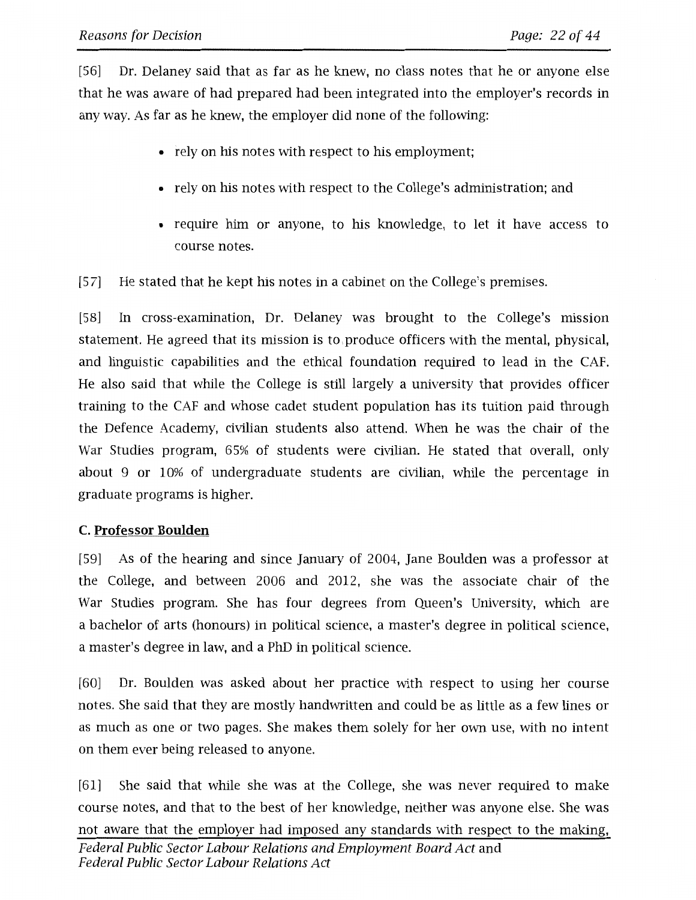[56] Dr. Delaney said that as far as he knew, no class notes that he or anyone else that he was aware of had prepared had been integrated into the employer's records in any way. As far as he knew, the employer did none of the following:

- rely on his notes with respect to his employment;
- rely on his notes with respect to the College's administration; and
- require him or anyone, to his knowledge, to let it have access to course notes.
- [57] He stated that he kept his notes in a cabinet on the College's premises.

[58] In cross-examination, Dr. Delaney was brought to the College's mission statement. He agreed that its mission is to produce officers with the mental, physical, and linguistic capabilities and the ethical foundation required to lead in the CAF. He also said that while the College is still largely a university that provides officer training to the CAF and whose cadet student population has its tuition paid through the Defence Academy, civilian students also attend. When he was the chair of the War Studies program, 65% of students were civilian. He stated that overall, only about 9 or 10% of undergraduate students are civilian, while the percentage in graduate programs is higher.

# **C. Professor Boulden**

[59] As of the hearing and since January of 2004, Jane Boulden was a professor at the College, and between 2006 and 2012, she was the associate chair of the War Studies program. She has four degrees from Queen's University, which are a bachelor of arts (honours) in political science, a master's degree in political science, a master's degree in law, and a PhD in political science.

[60] Dr. Boulden was asked about her practice with respect to using her course notes. She said that they are mostly handwritten and could be as little as a few lines or as much as one or two pages. She makes them solely for her own use, with no intent on them ever being released to anyone.

[61] She said that while she was at the College, she was never required to make course notes, and that to the best of her knowledge, neither was anyone else. She was not aware that the employer had imposed any standards with respect to the making, Federal Public Sector Labour Relations and Employment Board Act and Federal Public Sector Labour Relations Act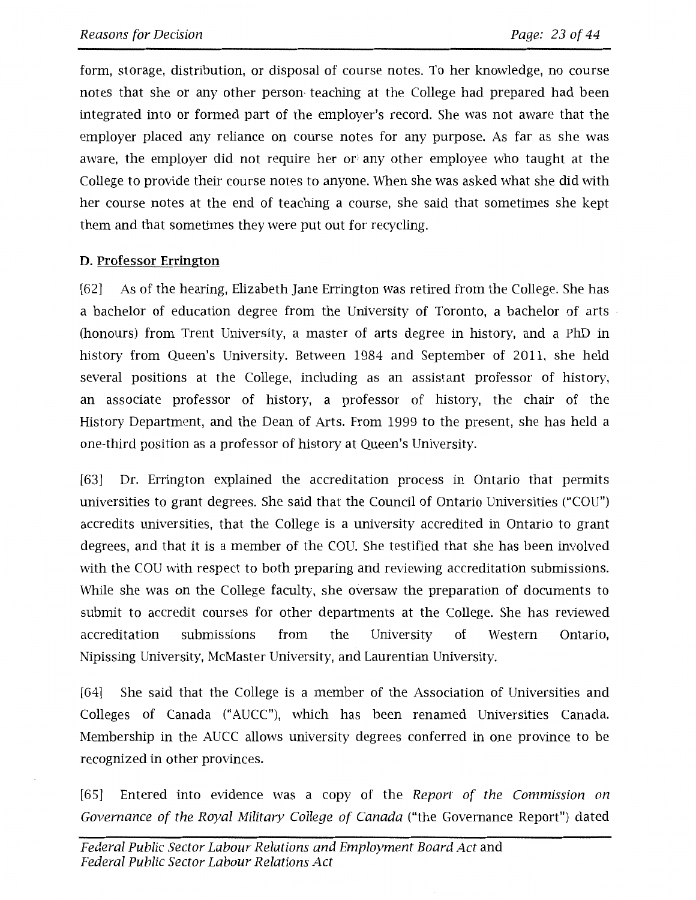form, storage, distribution, or disposal of course notes. To her knowledge, no course notes that she or any other person• teaching at the College had prepared had been integrated into or formed part of the employer's record. She was not aware that the employer placed any reliance on course notes for any purpose. As far as she was aware, the employer did not require her or' any other employee who taught at the College to provide their course notes to anyone. When she was asked what she did with her course notes at the end of teaching a course, she said that sometimes she kept them and that sometimes they were put out for recycling.

# **D. Professor Errington**

[62] As of the hearing, Elizabeth Jane Errington was retired from the College. She has a bachelor of education degree from the University of Toronto, a bachelor of arts (honours) from Trent University, a master of arts degree in history, and a PhD in history from Queen's University. Between 1984 and September of 2011, she held several positions at the College, including as an assistant professor of history, an associate professor of history, a professor of history, the chair of the History Department, and the Dean of Arts. From 1999 to the present, she has held a one-third position as a professor of history at Queen's University.

[63] Dr. Errington explained the accreditation process in Ontario that permits universities to grant degrees. She said that the Council of Ontario Universities ("COU") accredits universities, that the College is a university accredited in Ontario to grant degrees, and that it is a member of the COU. She testified that she has been involved with the COU with respect to both preparing and reviewing accreditation submissions. While she was on the College faculty, she oversaw the preparation of documents to submit to accredit courses for other departments at the College. She has reviewed accreditation submissions from the University of Western Ontario, Nipissing University, McMaster University, and Laurentian University.

[64] She said that the College is a member of the Association of Universities and Colleges of Canada ("AUCC"), which has been renamed Universities Canada. Membership in the AUCC allows university degrees conferred in one province to be recognized in other provinces.

[65] Entered into evidence was a copy of the *Report of the Commission on Governance of the Royal Military College of Canada* ("the Governance Report") dated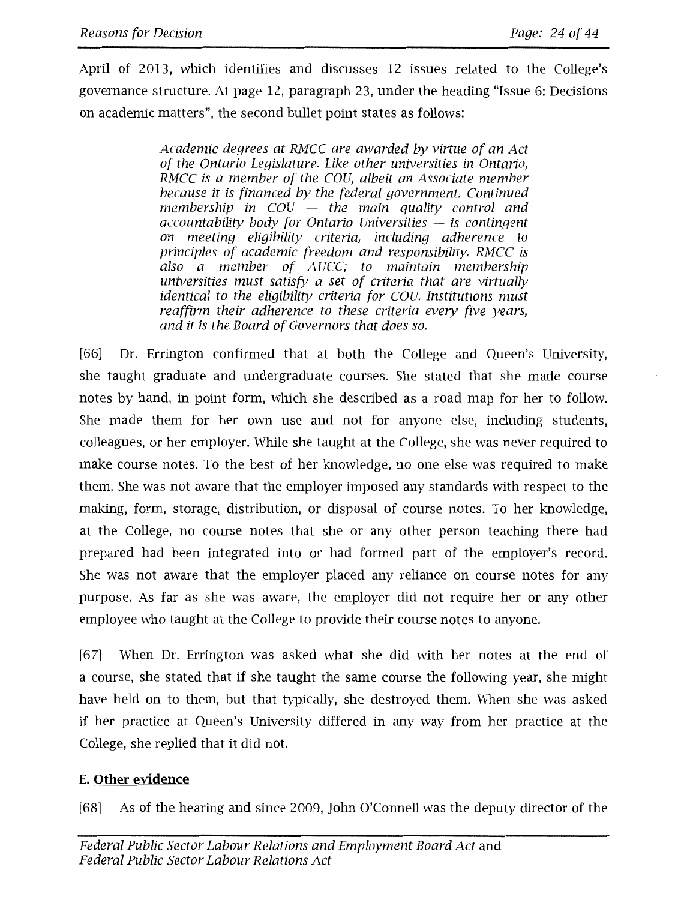April of 2013, which identifies and discusses 12 issues related to the College's governance structure. At page 12, paragraph 23, under the heading "Issue 6: Decisions on academic matters", the second bullet point states as follows:

> *Academic degrees at RMCC are awarded by virtue of an Act of the Ontario Legislature. Like other universities in Ontario, RMCC* is *a member of the COU, albeit an Associate member because it* is *financed by the federal government. Continued membership in COU* - *the main quality control and accountability body for Ontario Universities* - is *contingent on meeting eligibility criteria, including adherence to principles of academic freedom and responsibility. RMCC is also a member of AUCC; to maintain membership universities must satisfy a set of criteria that are virtually identical to the eligibility criteria for COU. Institutions must reaffirm their adherence to these criteria every five years, and it* is *the Board of Governors that does so.*

[66] Dr. Errington confirmed that at both the College and Queen's University, she taught graduate and undergraduate courses. She stated that she made course notes by hand, in point form, which she described as a road map for her to follow. She made them for her own use and not for anyone else, including students, colleagues, or her employer. While she taught at the College, she was never required to make course notes. To the best of her knowledge, no one else was required to make them. She was not aware that the employer imposed any standards with respect to the making, form, storage, distribution, or disposal of course notes. To her knowledge, at the College, no course notes that she or any other person teaching there had prepared had been integrated into or had formed part of the employer's record. She was not aware that the employer placed any reliance on course notes for any purpose. As far as she was aware, the employer did not require her or any other employee who taught at the College to provide their course notes to anyone.

[67] When Dr. Errington was asked what she did with her notes at the end of a course, she stated that if she taught the same course the following year, she might have held on to them, but that typically, she destroyed them. When she was asked if her practice at Queen's University differed in any way from her practice at the College, she replied that it did not.

# **E. Other evidence**

[68] As of the hearing and since 2009, John O'Connell was the deputy director of the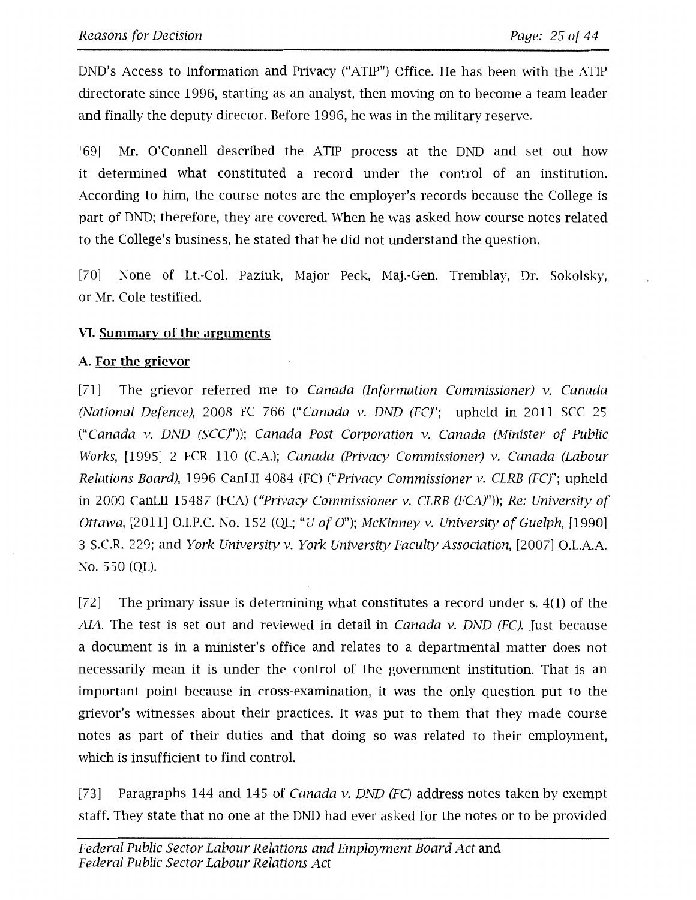DND's Access to Information and Privacy ("ATIP") Office. He has been with the ATIP directorate since 1996, starting as an analyst, then moving on to become a team leader and finally the deputy director. Before 1996, he was in the military reserve.

[69] Mr. O'Connell described the ATIP process at the DND and set out how it determined what constituted a record under the control of an institution. According to him, the course notes are the employer's records because the College is part of DND; therefore, they are covered. When he was asked how course notes related to the College's business, he stated that he did not understand the question.

[70] None of Lt.-Col. Paziuk, Major Peck, Maj.-Gen. Tremblay, Dr. Sokolsky, or Mr. Cole testified.

# **VI. Summary of the arguments**

# **A. For the grievor**

[71] The grievor referred me to Canada (Information Commissioner)  $v$ . Canada (National Defence), 2008 FC 766 ("Canada v. DND (FC)"; upheld in 2011 SCC 25 ("Canada v. DND (SCC)")); Canada Post Corporation v. Canada (Minister of Public Works, [1995] 2 FCR 110 (C.A.); Canada (Privacy Commissioner) v. Canada (Labour Relations Board), 1996 CanLII 4084 (FC) ("Privacy Commissioner v. CLRB (FC)"; upheld in 2000 CanLII 15487 (FCA) ("Privacy Commissioner v. CLRB (FCA)")); Re: University of Ottawa, [2011] O.I.P.C. No. 152 (QL; "U of O"); McKinney v. University of Guelph, [1990] 3 S.C.R. 229; and York University v. York University Faculty Association, [2007] O.L.A.A. No. 550 (QL).

[72] The primary issue is determining what constitutes a record under s. 4(1) of the AIA. The test is set out and reviewed in detail in *Canada v. DND (FC)*. Just because a document is in a minister's office and relates to a departmental matter does not necessarily mean it is under the control of the government institution. That is an important point because in cross-examination, it was the only question put to the grievor's witnesses about their practices. It was put to them that they made course notes as part of their duties and that doing so was related to their employment, which is insufficient to find control.

[73] Paragraphs 144 and 145 of Canada v. DND (FC) address notes taken by exempt staff. They state that no one at the DND had ever asked for the notes or to be provided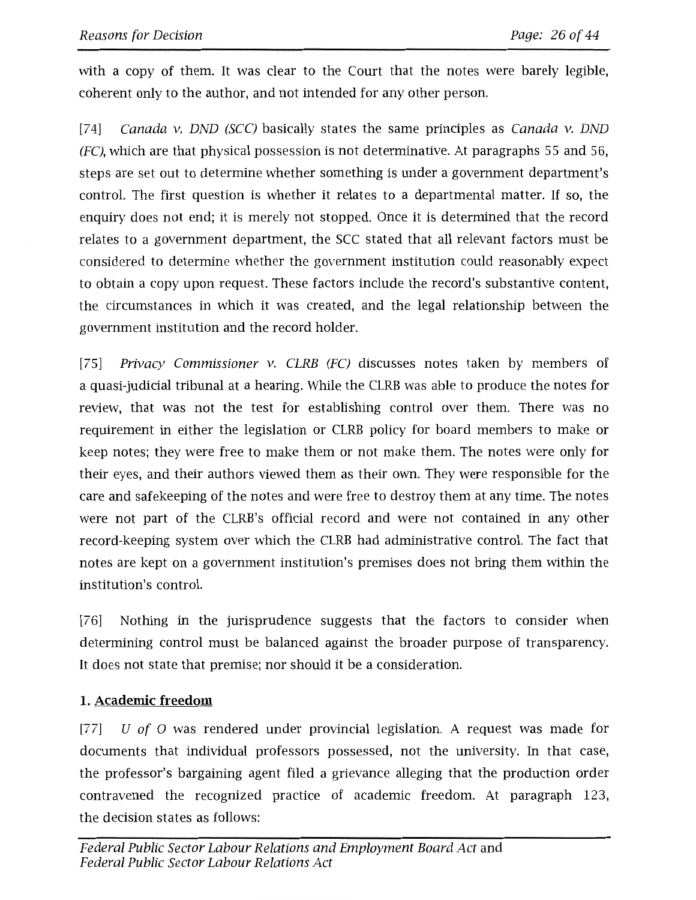with a copy of them. It was clear to the Court that the notes were barely legible, coherent only to the author, and not intended for any other person.

[74] Canada v. DND (SCC) basically states the same principles as Canada v. DND  $(FC)$ , which are that physical possession is not determinative. At paragraphs 55 and 56, steps are set out to determine whether something is under a government department's control. The first question is whether it relates to a departmental matter. If so, the enquiry does not end; it is merely not stopped. Once it is determined that the record relates to a government department, the SCC stated that all relevant factors must be considered to determine whether the government institution could reasonably expect to obtain a copy upon request. These factors include the record's substantive content, the circumstances in which it was created, and the legal relationship between the government institution and the record holder.

[75] Privacy Commissioner v. CLRB (FC) discusses notes taken by members of a quasi-judicial tribunal at a hearing. While the CLRB was able to produce the notes for review, that was not the test for establishing control over them. There was no requirement in either the legislation or CLRB policy for board members to make or keep notes; they were free to make them or not make them. The notes were only for their eyes, and their authors viewed them as their own. They were responsible for the care and safekeeping of the notes and were free to destroy them at any time. The notes were not part of the CLRB's official record and were not contained in any other record-keeping system over which the CLRB had administrative control. The fact that notes are kept on a government institution's premises does not bring them within the institution's control.

[76] Nothing in the jurisprudence suggests that the factors to consider when determining control must be balanced against the broader purpose of transparency. It does not state that premise; nor should it be a consideration.

# **1. Academic freedom**

[77]  $U$  of O was rendered under provincial legislation. A request was made for documents that individual professors possessed, not the university. In that case, the professor's bargaining agent filed a grievance alleging that the production order contravened the recognized practice of academic freedom. At paragraph 123, the decision states as follows: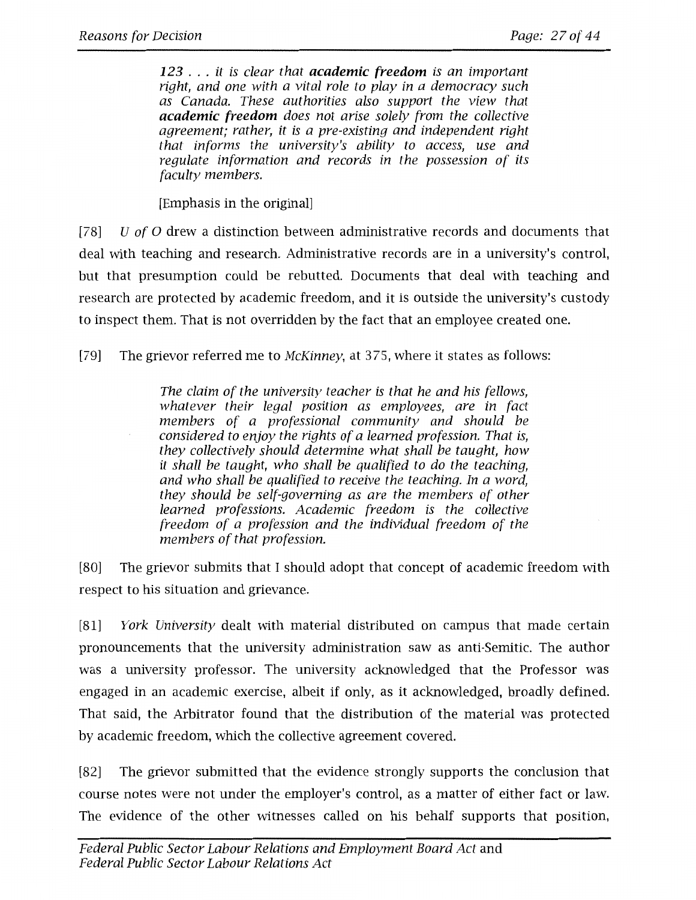*<sup>123</sup>*... *it is clear that academic freedom is an important right, and one with a vital role to play in a democracy such as Canada. These authorities also support the view that academic freedom does not arise solely from the collective agreement; rather, it is a pre-existing and independent right that informs the university's ability to access, use and regulate information and records in the possession of its faculty members.* 

[Emphasis in the original]

[78] U *of* O drew a distinction between administrative records and documents that deal with teaching and research. Administrative records are in a university's control, but that presumption could be rebutted. Documents that deal with teaching and research are protected by academic freedom, and it is outside the university's custody to inspect them. That is not overridden by the fact that an employee created one.

[79] The grievor referred me to *McKinney,* at 375, where it states as follows:

*The claim of the university teacher is that he and his fellows, whatever their legal position as employees, are in fact members of a professional community and should be considered to enjoy the rights of a learned profession. That is, they collectively should determine what shall be taught, how it shall be taught, who shall be qualified to do the teaching, and who shall be qualified to receive the teaching. In a word, they should be self-governing as are the members of other learned professions. Academic freedom is the collective freedom of a profession and the individual freedom of the members of that profession.* 

[80] The grievor submits that I should adopt that concept of academic freedom with respect to his situation and grievance.

[81] *York University* dealt with material distributed on campus that made certain pronouncements that the university administration saw as anti-Semitic. The author was a university professor. The university acknowledged that the Professor was engaged in an academic exercise, albeit if only, as it acknowledged, broadly defined. That said, the Arbitrator found that the distribution of the material was protected by academic freedom, which the collective agreement covered.

[82] The grievor submitted that the evidence strongly supports the conclusion that course notes were not under the employer's control, as a matter of either fact or law. The evidence of the other witnesses called on his behalf supports that position,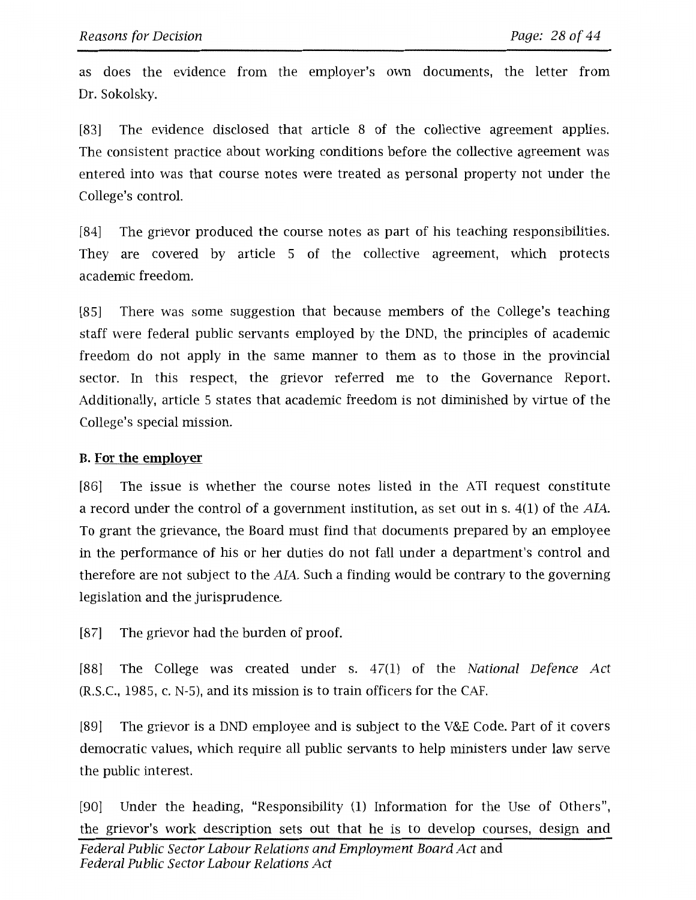as does the evidence from the employer's own documents, the letter from Dr. Sokolsky.

[83] The evidence disclosed that article 8 of the collective agreement applies. The consistent practice about working conditions before the collective agreement was entered into was that course notes were treated as personal property not under the College's control.

[84] The grievor produced the course notes as part of his teaching responsibilities. They are covered by article 5 of the collective agreement, which protects academic freedom.

[85] There was some suggestion that because members of the College's teaching staff were federal public servants employed by the DND, the principles of academic freedom do not apply in the same manner to them as to those in the provincial sector. In this respect, the grievor referred me to the Governance Report. Additionally, article 5 states that academic freedom is not diminished by virtue of the College's special mission.

# **B. For the employer**

[86] The issue is whether the course notes listed in the ATI request constitute a record under the control of a government institution, as set out in s. 4(1) of the AL4.. To grant the grievance, the Board must find that documents prepared by an employee in the performance of his or her duties do not fall under a department's control and therefore are not subject to the  $AIA$ . Such a finding would be contrary to the governing legislation and the jurisprudence.

[87] The grievor had the burden of proof.

[88] The College was created under s. 47(1) of the *National Defence Act*  (R.S.C., 1985, c. N-5), and its mission is to train officers for the CAF.

[89] The grievor is a DND employee and is subject to the V&E Code. Part of it covers democratic values, which require all public servants to help ministers under law serve the public interest.

[90] Under the heading, "Responsibility (1) Information for the Use of Others", the grievor's work description sets out that he is to develop courses, design and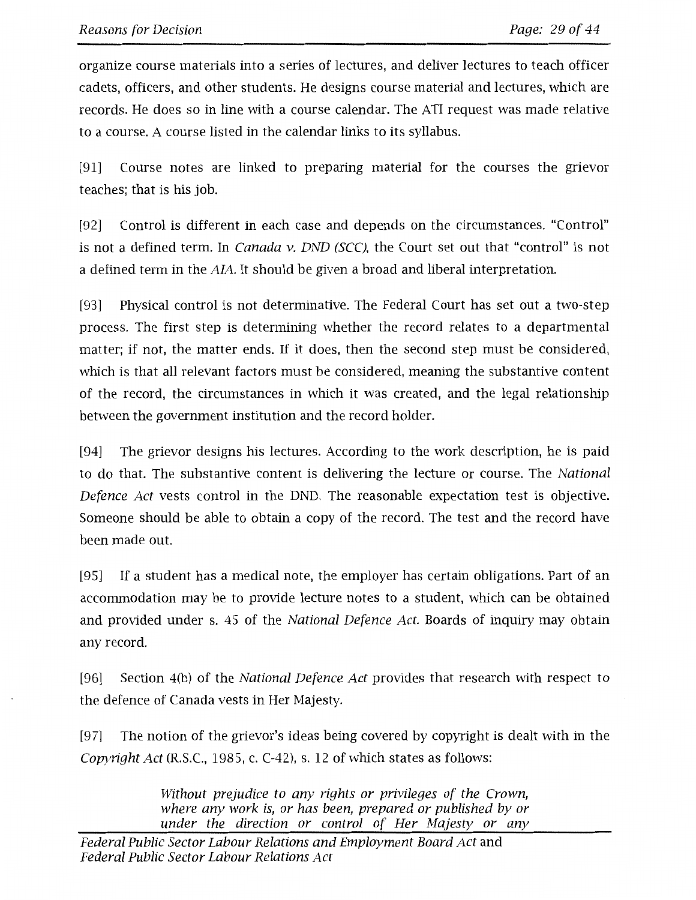organize course materials into a series of lectures, and deliver lectures to teach officer cadets, officers, and other students. He designs course material and lectures, which are records. He does so in line with a course calendar. The ATI request was made relative to a course. A course listed in the calendar links to its syllabus.

[91] Course notes are linked to preparing material for the courses the grievor teaches; that is his job.

[92] Control is different in each case and depends on the circumstances. "Control" is not a defined term. In *Canada v. DND (SCC),* the Court set out that "control" is not a defined term in the AJA. It should be given a broad and liberal interpretation.

[93] Physical control is not determinative. The Federal Court has set out a two-step process. The first step is determining whether the record relates to a departmental matter; if not, the matter ends. If it does, then the second step must be considered, which is that all relevant factors must be considered, meaning the substantive content of the record, the circumstances in which it was created, and the legal relationship between the government institution and the record holder.

[94] The grievor designs his lectures. According to the work description, he is paid to do that. The substantive content is delivering the lecture or course. The *National Defence Act* vests control in the DND. The reasonable expectation test is objective. Someone should be able to obtain a copy of the record. The test and the record have been made out.

[95] If a student has a medical note, the employer has certain obligations. Part of an accommodation may be to provide lecture notes to a student, which can be obtained and provided under s. 45 of the *National Defence Act.* Boards of inquiry may obtain any record.

[96] Section 4(b) of the *National Defence Act* provides that research with respect to the defence of Canada vests in Her Majesty.

[97] The notion of the grievor's ideas being covered by copyright is dealt with in the *Copyright Act* (R.S.C., 1985, c. C-42), s. 12 of which states as follows:

> *Without prejudice to any rights or privileges of the Crown, where any work is, or has been, prepared or published by or under the direction or control of Her Majesty or any*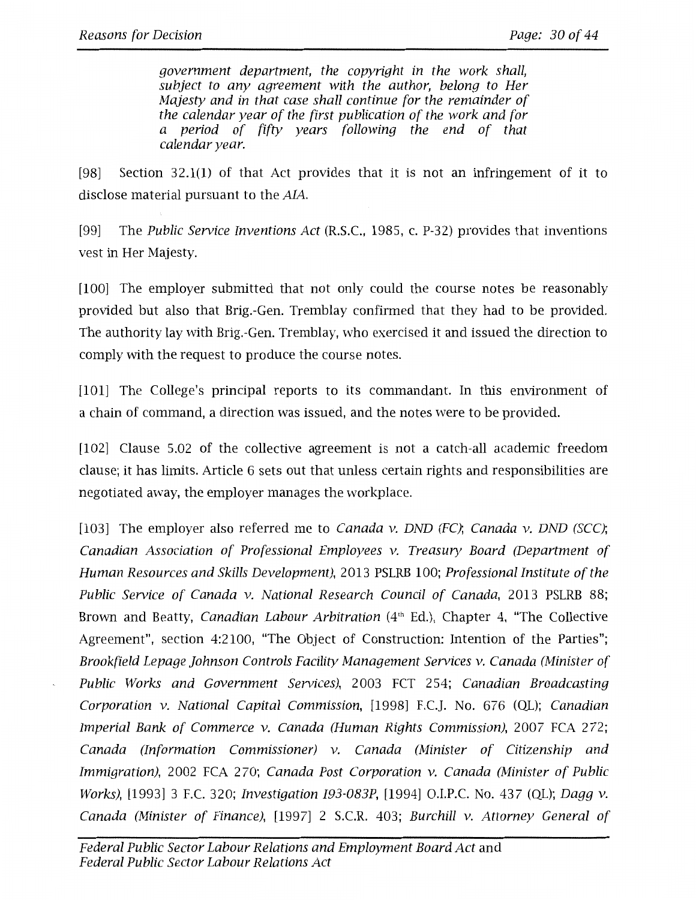government department, the copyright in the work shall, subject to any agreement with the author, belong to Her Majesty and in that case shall continue for the remainder of the calendar year of the first publication of the work and for a period of fifty years following the end of that calendar year.

[98] Section 32.1(1) of that Act provides that it is not an infringement of it to disclose material pursuant to the AIA.

[99] The Public Service Inventions Act (R.S.C., 1985, c. P-32) provides that inventions vest in Her Majesty.

[100] The employer submitted that not only could the course notes be reasonably provided but also that Brig.-Gen. Tremblay confirmed that they had to be provided. The authority lay with Brig.-Gen. Tremblay, who exercised it and issued the direction to comply with the request to produce the course notes.

[101] The College's principal reports to its commandant. In this environment of a chain of command, a direction was issued, and the notes were to be provided.

[102] Clause 5.02 of the collective agreement is not a catch-all academic freedom clause; it has limits. Article 6 sets out that unless certain rights and responsibilities are negotiated away, the employer manages the workplace.

[103] The employer also referred me to *Canada v. DND (FC)*; *Canada v. DND (SCC)*; Canadian Association of Professional Employees v. Treasury Board (Department of Human Resources and Skills Development), 2013 PSLRB 100; Professional Institute of the Public Service of Canada v. National Research Council of Canada, 2013 PSLRB 88; Brown and Beatty, Canadian Labour Arbitration (4<sup>th</sup> Ed.), Chapter 4, "The Collective Agreement", section 4:2100, "The Object of Construction: Intention of the Parties"; Brookfield Lepage Johnson Controls Facility Management Services v. Canada (Minister of Public Works and Government Services), 2003 FCT 254; Canadian Broadcasting Corporation v. National Capital Commission, [1998] F.C.J. No. 676 (QL); Canadian Imperial Bank of Commerce v. Canada (Human Rights Commission), 2007 FCA 272; Canada (Information Commissioner) v. Canada (Minister of Citizenship and Immigration), 2002 FCA 270; Canada Post Corporation v. Canada (Minister of Public Works), [1993] 3 F.C. 320; Investigation I93-083P, [1994] O.I.P.C. No. 437 (QL); Dagg v. Canada (Minister of Finance), [1997] 2 S.C.R. 403; Burchill v. Attorney General of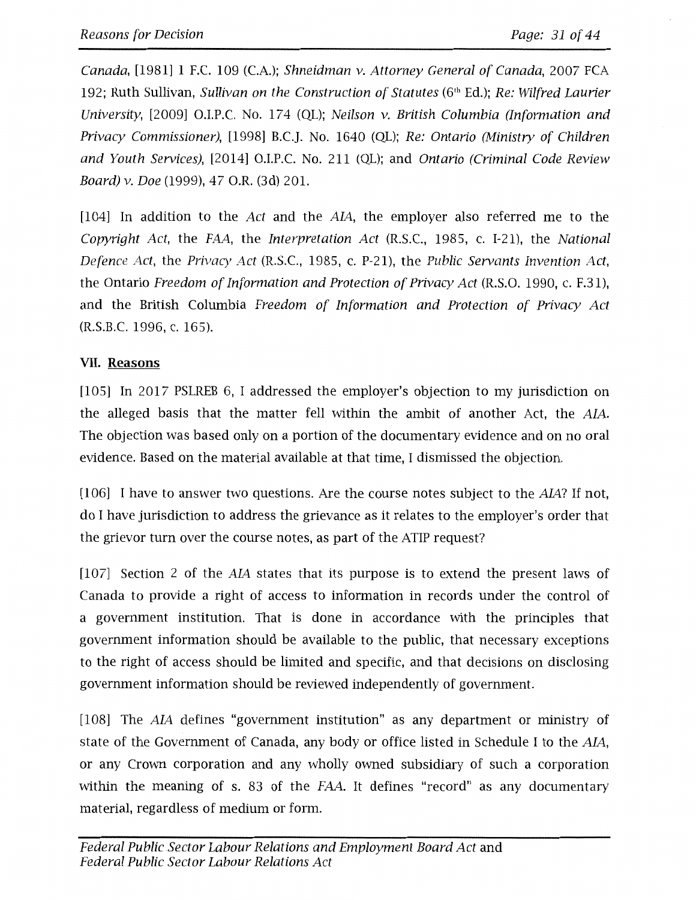*Canada,* [1981] 1 F.C. 109 (C.A.); *Shneidman v. Attorney General of Canada,* 2007 FCA 192; Ruth Sullivan, *Sullivan on the Construction of Statutes* (6<sup>th</sup> Ed.); *Re: Wilfred Laurier University,* [2009] O.1.P.C. No. 17 4 (QL); *Neilson v. British Columbia (Information and Privacy Commissioner),* [1998] B.C.J. No. 1640 (QL); *Re: Ontario (Ministry of Children and Youth Services),* [2014] O.1.P.C. No. 211 (QL); and *Ontario (Criminal Code Review Board) v. Doe* (1999), 47 O.R. (3d) 201.

[104] In addition to the *Act* and the *AM,* the employer also referred me to the *Copyright Act,* the *FAA,* the *Interpretation Act* (R.S.C., 1985, c. 1-21), the *National Defence Act,* the *Privacy Act* (R.S.C., 1985, c. P-21), the *Public Servants Invention Act,*  the Ontario *Freedom of Information and Protection of Privacy Act* (R.S.O. 1990, c. F.31), and the British Columbia *Freedom of Information and Protection of Privacy Act*  (R.S.B.C. 1996, c. 165).

# **VII. Reasons**

[105] In 2017 PSLREB 6, I addressed the employer's objection to my jurisdiction on the alleged basis that the matter fell within the ambit of another Act, the AJA. The objection was based only on a portion of the documentary evidence and on no oral evidence. Based on the material available at that time, I dismissed the objection.

[106] I have to answer two questions. Are the course notes subject to the *AM?* If not, do I have jurisdiction to address the grievance as it relates to the employer's order that the grievor turn over the course notes, as part of the ATIP request?

[107] Section 2 of the *AM* states that its purpose is to extend the present laws of Canada to provide a right of access to information in records under the control of a government institution. That is done in accordance with the principles that government information should be available to the public, that necessary exceptions to the right of access should be limited and specific, and that decisions on disclosing government information should be reviewed independently of government.

[108] The *AIA* defines "government institution" as any department or ministry of state of the Government of Canada, any body or office listed in Schedule I to the AJA, or any Crown corporation and any wholly owned subsidiary of such a corporation within the meaning of s. 83 of the *FAA.* It defines "record" as any documentary material, regardless of medium or form.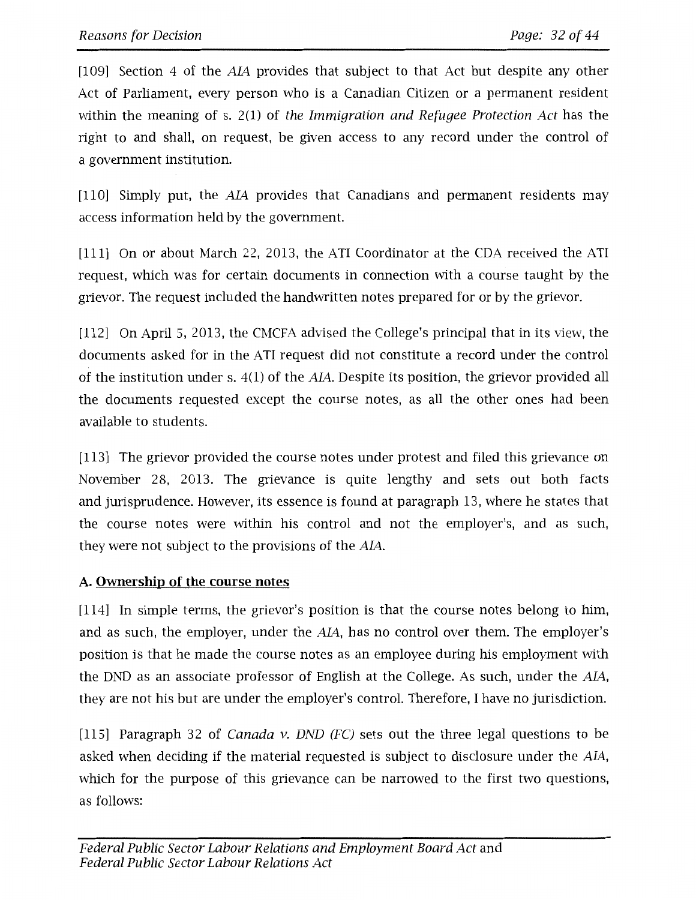[109] Section 4 of the AL4 provides that subject to that Act but despite any other Act of Parliament, every person who is a Canadian Citizen or a permanent resident within the meaning of s. 2(1) of the Immigration and Refugee Protection Act has the right to and shall, on request, be given access to any record under the control of a government institution.

[110] Simply put, the AIA provides that Canadians and permanent residents may access information held by the government.

[111] On or about March 22, 2013, the ATI Coordinator at the CDA received the ATI request, which was for certain documents in connection with a course taught by the grievor. The request included the handwritten notes prepared for or by the grievor.

[112] On April 5, 2013, the CMCFA advised the College's principal that in its view, the documents asked for in the ATI request did not constitute a record under the control of the institution under s. 4(1) of the AL4. Despite its position, the grievor provided all the documents requested except the course notes, as all the other ones had been available to students.

[113] The grievor provided the course notes under protest and filed this grievance on November 28, 2013. The grievance is quite lengthy and sets out both facts and jurisprudence. However, its essence is found at paragraph 13, where he states that the course notes were within his control and not the employer's, and as such, they were not subject to the provisions of the AIA.

# **A. Ownership of the course notes**

[ll4] In simple terms, the grievor's position is that the course notes belong to him, and as such, the employer, under the AL4, has no control over them. The employer's position is that he made the course notes as an employee during his employment with the DND as an associate professor of English at the College. As such, under the AL4, they are not his but are under the employer's control. Therefore, I have no jurisdiction.

[115] Paragraph 32 of *Canada v. DND (FC)* sets out the three legal questions to be asked when deciding if the material requested is subject to disclosure under the AIA, which for the purpose of this grievance can be narrowed to the first two questions, as follows: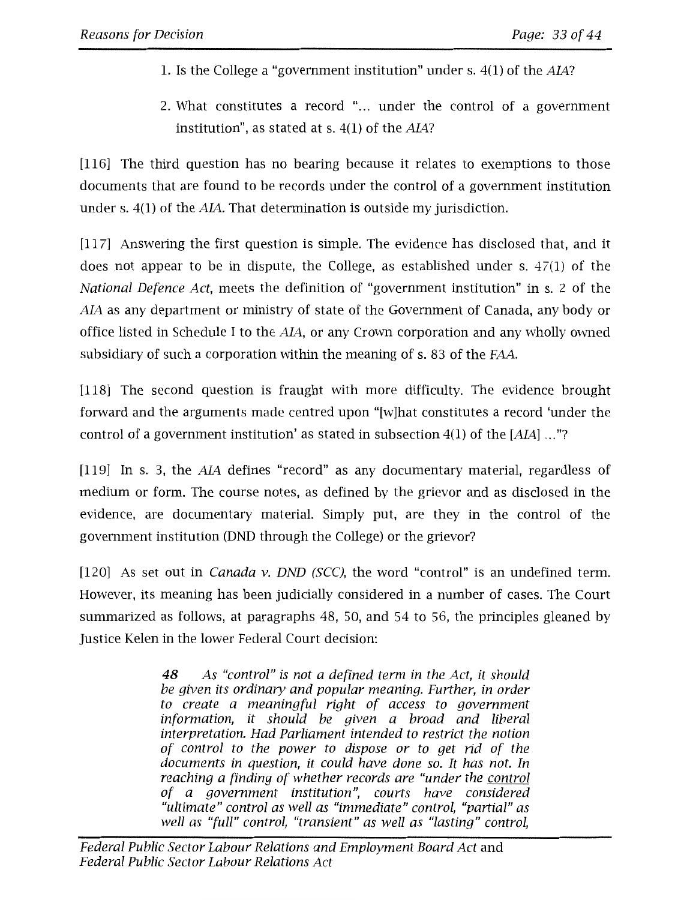- 1. Is the College a "government institution" under s. 4(1) of the *AIA*?
- 2. What constitutes a record "... under the control of a government institution", as stated at s.  $4(1)$  of the  $AIA$ ?

[116] The third question has no bearing because it relates to exemptions to those documents that are found to be records under the control of a government institution under s.  $4(1)$  of the  $AIA$ . That determination is outside my jurisdiction.

[117] Answering the first question is simple. The evidence has disclosed that, and it does not appear to be in dispute, the College, as established under s. 47(1) of the *National Defence Act,* meets the definition of "government institution" in s. 2 of the AIA as any department or ministry of state of the Government of Canada, any body or office listed in Schedule I to the AIA, or any Crown corporation and any wholly owned subsidiary of such a corporation within the meaning of s. 83 of the FAA.

[118] The second question is fraught with more difficulty. The evidence brought forward and the arguments made centred upon "[w]hat constitutes a record 'under the control of a government institution' as stated in subsection 4(1) of the *[AJA]* ... "?

[119] In s. 3, the AIA defines "record" as any documentary material, regardless of medium or form. The course notes, as defined by the grievor and as disclosed in the evidence, are documentary material. Simply put, are they in the control of the government institution (DND through the College) or the grievor?

[120] As set out in *Canada v. DND (SCC),* the word "control" is an undefined term. However, its meaning has been judicially considered in a number of cases. The Court summarized as follows, at paragraphs 48, 50, and 54 to 56, the principles gleaned by Justice Kelen in the lower Federal Court decision:

> **48** *As "control" is not a defined term in the Act, it should be given its ordinary and popular meaning. Further, in order to create a meaningful right of access to government information, it should be given a broad and liberal interpretation. Had Parliament intended to restrict the notion of control to the power to dispose or to get rid of the documents in question, it could have done so. It has not. In reaching a finding of whether records are "under the control of a government institution", courts have considered "ultimate" control as well as "immediate" control, "partial" as well as "full" control, "transient" as well as "lasting" control,*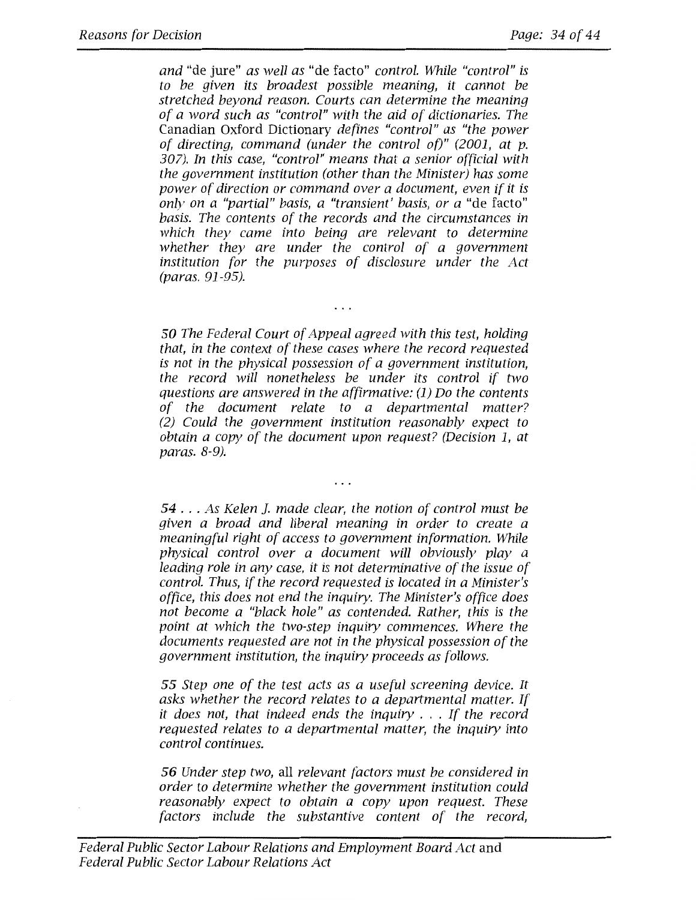*and* "de jure" *as well as* "de facto" *control. While "control" is to be given its broadest possible meaning, it cannot be stretched beyond reason. Courts can determine the meaning of a word such as "control" with the aid of dictionaries. The*  Canadian Oxford Dictionary *defines "control" as "the power of directing, command (under the control of)" (2001, at p. 307). In this case, "control" means that a senior official with the government institution (other than the Minister) has some power of direction or command over a document, even if it is only on a "partial" basis, a "transient' basis, or a* "de facto" *basis. The contents of the records and the circumstances in which they came into being are relevant to determine whether they are under the control of a government institution for the purposes of disclosure under the Act (paras. 91-95).* 

**50** *The Federal Court of Appeal agreed with this test, holding that, in the context of these cases where the record requested is not in the physical possession of a government institution, the record will nonetheless be under its control if two questions are answered in the affirmative: (1) Do the contents of the document relate to a departmental matter? (2) Could the government institution reasonably expect to obtain a copy of the document upon request? (Decision 1, at paras. 8-9).* 

 $\cdot$   $\cdot$   $\cdot$ 

 $\cdots$ 

*<sup>54</sup>*... *As Kelen ]. made clear, the notion of control must be given a broad and liberal meaning in order to create a meaningful right of access to government information. While physical control over a document will obviously play a leading role in any case, it is not determinative of the issue of control. Thus, if the record requested is located in a Minister's office, this does not end the inquiry. The Minister's office does not become a "black hole" as contended. Rather, this is the point at which the two-step inquiry commences. Where the documents requested are not in the physical possession of the government institution, the inquiry proceeds as follows.* 

*55 Step one of the test acts as a useful screening device. It asks whether the record relates to a departmental matter. If it does not, that indeed ends the inquiry* . . . *If the record requested relates to a departmental matter, the inquiry into control continues.* 

*56 Under step two,* all *relevant factors must be considered in order to determine whether the government institution could reasonably expect to obtain a copy upon request. These factors include the substantive content of the record,*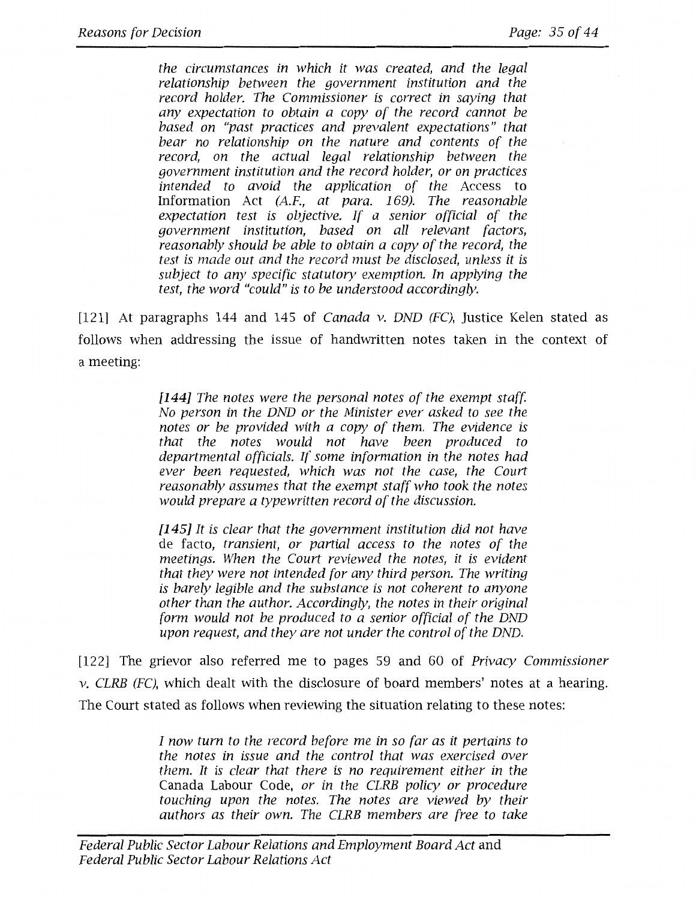*the circumstances in which it was created, and the legal relationship between the government institution and the record holder. The Commissioner is correct in saying that any expectation to obtain a copy of the record cannot be based on "past practices and prevalent expectations" that bear no relationship on the nature and contents of the record, on the actual legal relationship between the government institution and the record holder, or on practices intended to avoid the application of the* Access to Information Act *(A.F., at para. 169). The reasonable expectation test is objective. If a senior official of the government institution, based on all relevant factors, reasonably should be able to obtain a copy of the record, the test is made out and the record must be disclosed, unless it is subject to any specific statutory exemption. In applying the test, the word "could" is to be understood accordingly.* 

[121] At paragraphs 144 and 145 of *Canada v. DND (FC),* Justice Kelen stated as follows when addressing the issue of handwritten notes taken in the context of a meeting:

> **[144]** *The notes were the personal notes of the exempt staff No person in the DND or the Minister ever asked to see the notes or be provided with a copy of them. The evidence is that the notes would not have been produced to departmental officials. If some information in the notes had ever been requested, which was not the case, the Court reasonably assumes that the exempt staff who took the notes would prepare a typewritten record of the discussion.*

> **[145]** *It is clear that the government institution did not have*  de facto, *transient, or partial access to the notes of the meetings. When the Court reviewed the notes, it is evident that they were not intended for any third person. The writing is barely legible and the substance is not coherent to anyone other than the author. Accordingly, the notes in their original form would not be produced to a senior official of the DND upon request, and they are not under the control of the DND.*

[122] The grievor also referred me to pages 59 and 60 of *Privacy Commissioner v. CLRB (FC),* which dealt with the disclosure of board members' notes at a hearing. The Court stated as follows when reviewing the situation relating to these notes:

> *I now turn to the record before me in so far as it pertains to the notes in issue and the control that was exercised over them. It is clear that there is no requirement either in the*  Canada Labour Code, *or in the CLRB policy or procedure touching upon the notes. The notes are viewed by their authors as their own. The CLRB members are free to take*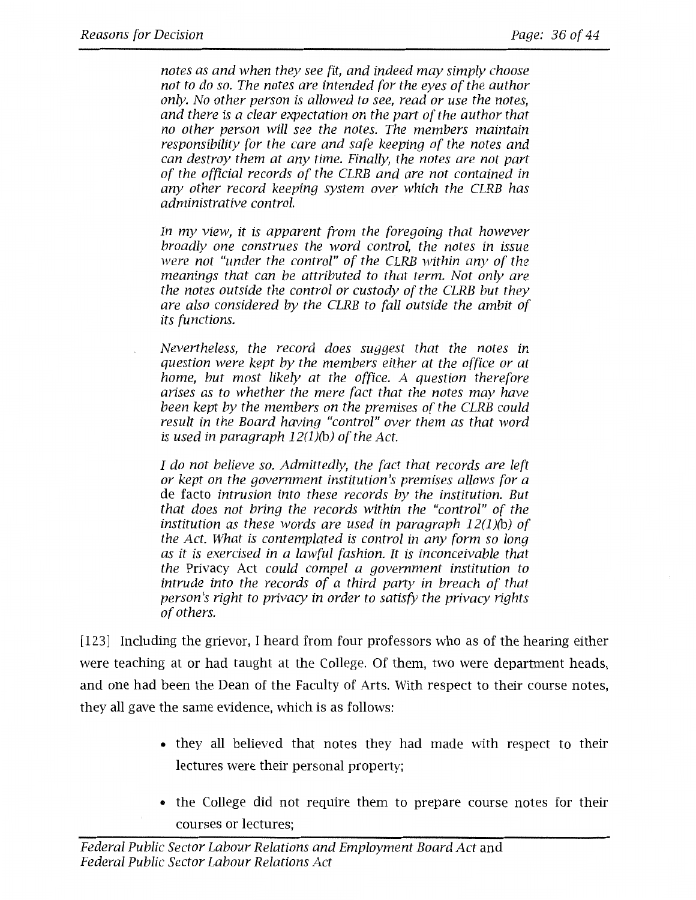*notes as and when they see fit, and indeed may simply choose not to do so. The notes are intended for the eyes of the author only. No other person is allowed to see, read or use the notes, and there is a clear expectation on the part of the author that no other person will see the notes. The members maintain responsibility for the care and safe keeping of the notes and can destroy them at any time. Finally, the notes are not part of the official records of the CLRB and are not contained in any other record keeping system over which the CLRB has administrative control.* 

*In my view, it is apparent from the foregoing that however broadly one construes the word control, the notes in issue were not "under the control" of the CLRB within any of the meanings that can be attributed to that term. Not only are the notes outside the control or custody of the CLRB but they are also considered by the CLRB to fall outside the ambit of its functions.* 

*Nevertheless, the record does suggest that the notes in question were kept by the members either at the office or at home, but most likely at the office. A question therefore arises as to whether the mere fact that the notes may have been kept by the members on the premises of the CLRB could result in the Board having "control" over them as that word is used in paragraph 12(1)(b) of the Act.* 

*I do not believe so. Admittedly, the fact that records are left or kept on the government institution's premises allows for a*  de facto *intrusion into these records by the institution. But that does not bring the records within the "control" of the institution as these words are used in paragraph 12(1)(b) of the Act. What is contemplated is control in any form so long as it is exercised in a lawful fashion. It is inconceivable that the* Privacy Act *could compel a government institution to intrude into the records of a third party in breach of that person's right to privacy in order to satisfy the privacy rights of others.* 

[123] Including the grievor, I heard from four professors who as of the hearing either were teaching at or had taught at the College. Of them, two were department heads, and one had been the Dean of the Faculty of Arts. With respect to their course notes, they all gave the same evidence, which is as follows:

- they all believed that notes they had made with respect to their lectures were their personal property;
- the College did not require them to prepare course notes for their courses or lectures;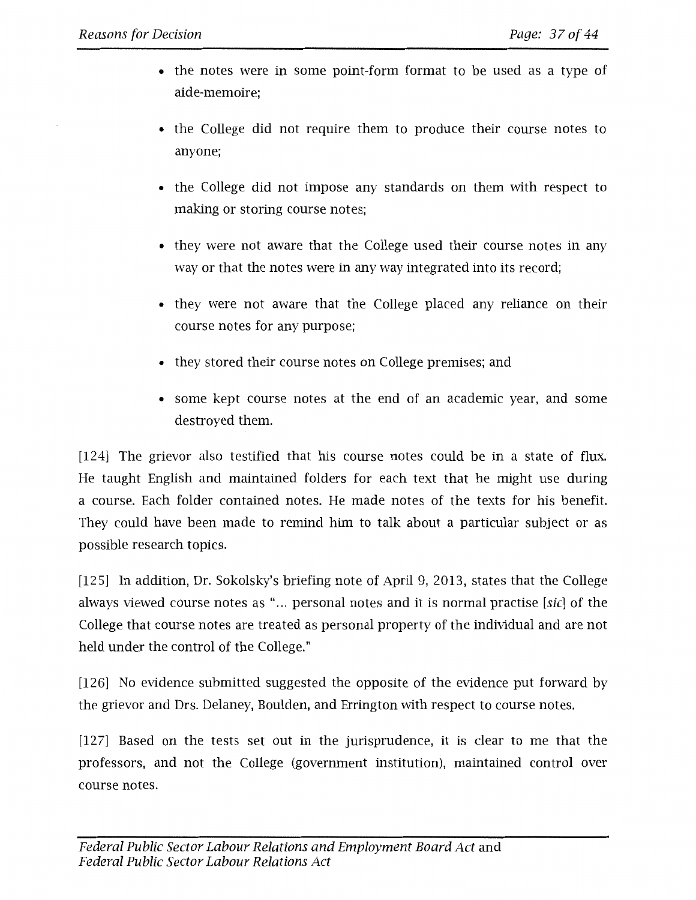- the notes were in some point-form format to be used as a type of aide-memoire;
- the College did not require them to produce their course notes to anyone;
- the College did not impose any standards on them with respect to making or storing course notes;
- they were not aware that the College used their course notes in any way or that the notes were in any way integrated into its record;
- they were not aware that the College placed any reliance on their course notes for any purpose;
- they stored their course notes on College premises; and
- some kept course notes at the end of an academic year, and some destroyed them.

[124) The grievor also testified that his course notes could be in a state of flux. He taught English and maintained folders for each text that he might use during a course. Each folder contained notes. He made notes of the texts for his benefit. They could have been made to remind him to talk about a particular subject or as possible research topics.

[125] In addition, Dr. Sokolsky's briefing note of April 9, 2013, states that the College always viewed course notes as "... personal notes and it is normal practise [sic] of the College that course notes are treated as personal property of the individual and are not held under the control of the College."

[126) No evidence submitted suggested the opposite of the evidence put forward by the grievor and Drs. Delaney, Boulden, and Errington with respect to course notes.

[127) Based on the tests set out in the jurisprudence, it is clear to me that the professors, and not the College (government institution), maintained control over course notes.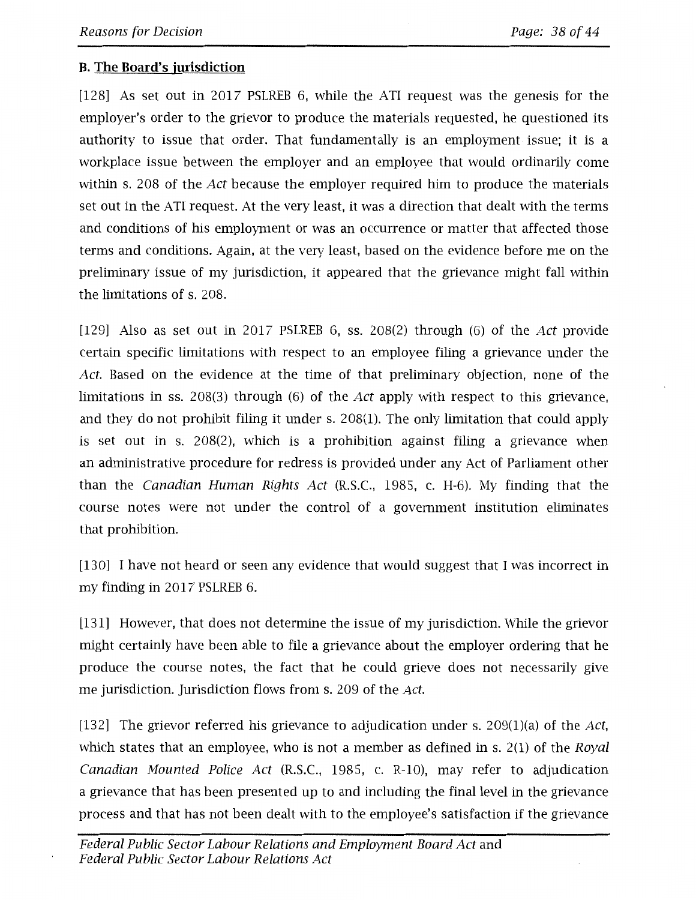# **B. The Board's jurisdiction**

[128] As set out in 2017 PSLREB 6, while the ATI request was the genesis for the employer's order to the grievor to produce the materials requested, he questioned its authority to issue that order. That fundamentally is an employment issue; it is a workplace issue between the employer and an employee that would ordinarily come within s. 208 of the Act because the employer required him to produce the materials set out in the ATI request. At the very least, it was a direction that dealt with the terms and conditions of his employment or was an occurrence or matter that affected those terms and conditions. Again, at the very least, based on the evidence before me on the preliminary issue of my jurisdiction, it appeared that the grievance might fall within the limitations of s. 208.

[129] Also as set out in 2017 PSLREB 6, ss. 208(2) through (6) of the Act provide certain specific limitations with respect to an employee filing a grievance under the Act. Based on the evidence at the time of that preliminary objection, none of the limitations in ss. 208(3) through (6) of the Act apply with respect to this grievance, and they do not prohibit filing it under s. 208(1). The only limitation that could apply is set out in s. 208(2), which is a prohibition against filing a grievance when an administrative procedure for redress is provided under any Act of Parliament other than the Canadian Human Rights Act (R.S.C., 1985, c. H-6). My finding that the course notes were not under the control of a government institution eliminates that prohibition.

[130] I have not heard or seen any evidence that would suggest that I was incorrect in my finding in 2017 PSLREB 6.

[131] However, that does not determine the issue of my jurisdiction. While the grievor might certainly have been able to file a grievance about the employer ordering that he produce the course notes, the fact that he could grieve does not necessarily give me jurisdiction. Jurisdiction flows from s. 209 of the Act.

[132] The grievor referred his grievance to adjudication under s. 209(1)(a) of the Act, which states that an employee, who is not a member as defined in s.  $2(1)$  of the Royal Canadian Mounted Police Act (R.S.C., 1985, c. R-10), may refer to adjudication a grievance that has been presented up to and including the final level in the grievance process and that has not been dealt with to the employee's satisfaction if the grievance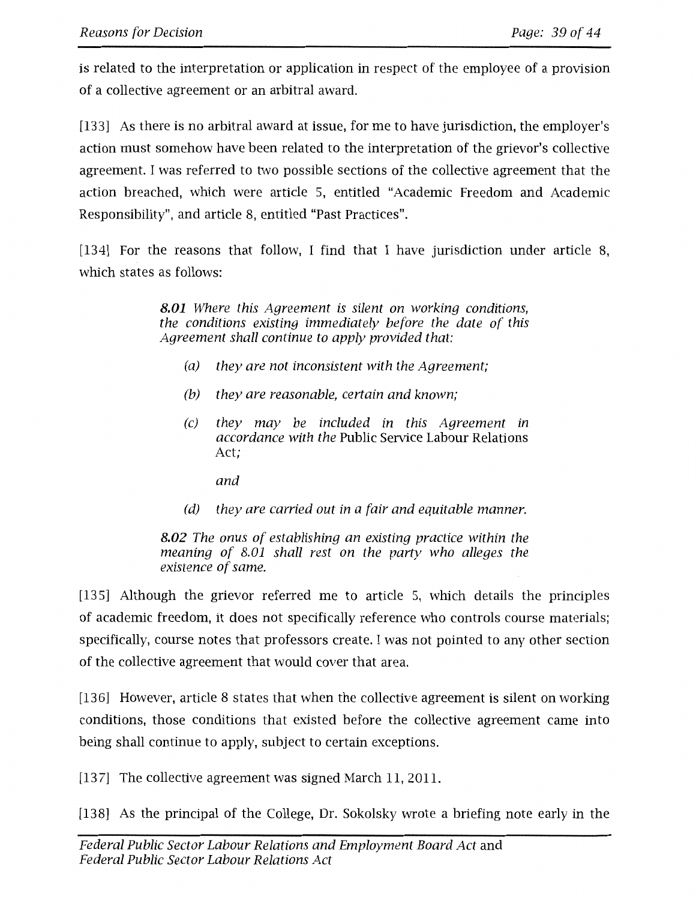is related to the interpretation or application in respect of the employee of a provision of a collective agreement or an arbitral award.

[133] As there is no arbitral award at issue, for me to have jurisdiction, the employer's action must somehow have been related to the interpretation of the grievor's collective agreement. I was referred to two possible sections of the collective agreement that the action breached, which were article 5, entitled "Academic Freedom and Academic Responsibility", and article 8, entitled "Past Practices".

[134] For the reasons that follow, I find that I have jurisdiction under article 8, which states as follows:

> **8.01** *Where this Agreement is silent on working conditions, the conditions existing immediately before the date of this Agreement shall continue to apply provided that:*

- *(a) they are not inconsistent with the Agreement;*
- *(b) they are reasonable, certain and known;*
- *(c) they may be included in this Agreement in accordance with the* Public Service Labour Relations Act;
	- *and*
- *(d) they are carried out in a fair and equitable manner.*

**8.02** *The onus of establishing an existing practice within the meaning of 8.01 shall rest on the party who alleges the existence of same.* 

[135] Although the grievor referred me to article 5, which details the principles of academic freedom, it does not specifically reference who controls course materials; specifically, course notes that professors create. I was not pointed to any other section of the collective agreement that would cover that area.

[136] However, article 8 states that when the collective agreement is silent on working conditions, those conditions that existed before the collective agreement came into being shall continue to apply, subject to certain exceptions.

[137] The collective agreement was signed March 11, 2011.

[138] As the principal of the College, Dr. Sokolsky wrote a briefing note early in the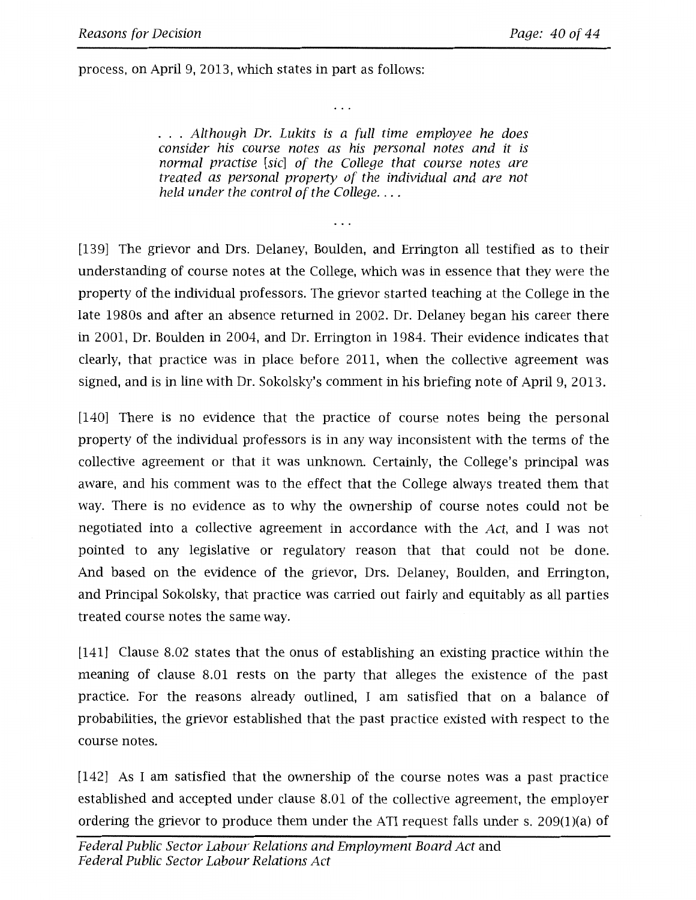process, on April 9, 2013, which states in part as follows:

*Although Dr. Lukits is a full time employee he does consider his course notes as his personal notes and it is normal practise [sic] of the College that course notes are treated as personal property of the individual and are not held under the control of the College .* ...

 $\cdots$ 

 $\cdots$ 

[139] The grievor and Drs. Delaney, Boulden, and Errington all testified as to their understanding of course notes at the College, which was in essence that they were the property of the individual professors. The grievor started teaching at the College in the late 1980s and after an absence returned in 2002. Dr. Delaney began his career there in 2001, Dr. Boulden in 2004, and Dr. Errington in 1984. Their evidence indicates that clearly, that practice was in place before 2011, when the collective agreement was signed, and is in line with Dr. Sokolsky's comment in his briefing note of April 9, 2013.

[140] There is no evidence that the practice of course notes being the personal property of the individual professors is in any way inconsistent with the terms of the collective agreement or that it was unknown. Certainly, the College's principal was aware, and his comment was to the effect that the College always treated them that way. There is no evidence as to why the ownership of course notes could not be negotiated into a collective agreement in accordance with the *Act,* and I was not pointed to any legislative or regulatory reason that that could not be done. And based on the evidence of the grievor, Drs. Delaney, Boulden, and Errington, and Principal Sokolsky, that practice was carried out fairly and equitably as all parties treated course notes the same way.

[141] Clause 8.02 states that the onus of establishing an existing practice within the meaning of clause 8.01 rests on the party that alleges the existence of the past practice. For the reasons already outlined, I am satisfied that on a balance of probabilities, the grievor established that the past practice existed with respect to the course notes.

[142] As I am satisfied that the ownership of the course notes was a past practice established and accepted under clause 8.01 of the collective agreement, the employer ordering the grievor to produce them under the ATI request falls under s. 209(1)(a) of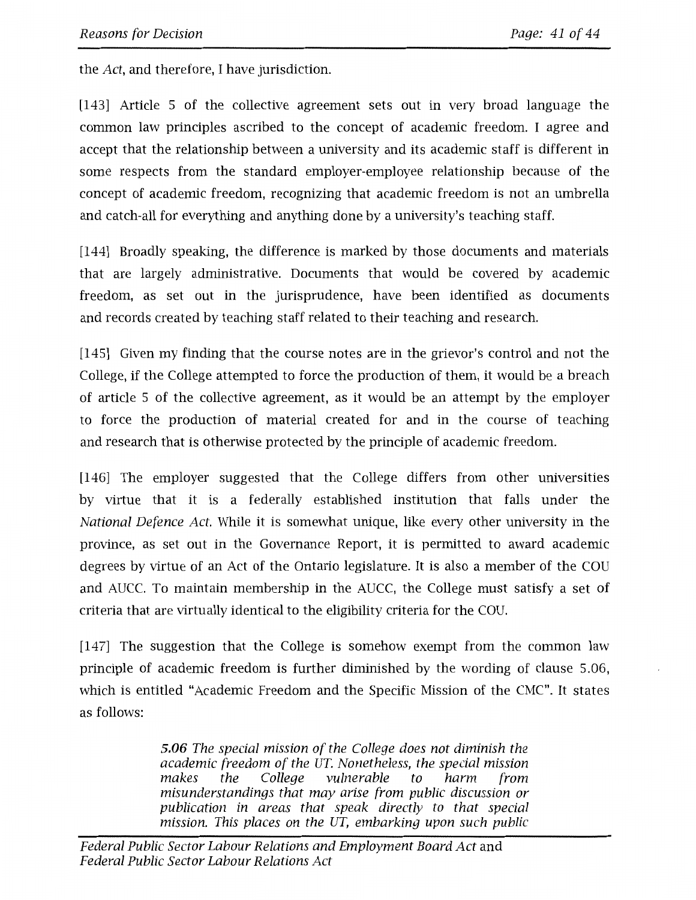the *Act,* and therefore, I have jurisdiction.

[143] Article 5 of the collective agreement sets out in very broad language the common law principles ascribed to the concept of academic freedom. I agree and accept that the relationship between a university and its academic staff is different in some respects from the standard employer-employee relationship because of the concept of academic freedom, recognizing that academic freedom is not an umbrella and catch-all for everything and anything done by a university's teaching staff.

[144] Broadly speaking, the difference is marked by those documents and materials that are largely administrative. Documents that would be covered by academic freedom, as set out in the jurisprudence, have been identified as documents and records created by teaching staff related to their teaching and research.

[145] Given my finding that the course notes are in the grievor's control and not the College, if the College attempted to force the production of them, it would be a breach of article 5 of the collective agreement, as it would be an attempt by the employer to force the production of material created for and in the course of teaching and research that is otherwise protected by the principle of academic freedom.

[146] The employer suggested that the College differs from other universities by virtue that it is a federally established institution that falls under the *National Defence Act.* While it is somewhat unique, like every other university in the province, as set out in the Governance Report, it is permitted to award academic degrees by virtue of an Act of the Ontario legislature. It is also a member of the COU and AUCC. To maintain membership in the AUCC, the College must satisfy a set of criteria that are virtually identical to the eligibility criteria for the COU.

[147] The suggestion that the College is somehow exempt from the common law principle of academic freedom is further diminished by the wording of clause 5.06, which is entitled "Academic Freedom and the Specific Mission of the CMC". It states as follows:

> *5.06 The special mission of the College does not diminish the academic freedom of the UT. Nonetheless, the special mission makes the College vulnerable to harm from misunderstandings that may arise from public discussion or publication in areas that speak directly to that special mission. This places on the UT, embarking upon such public*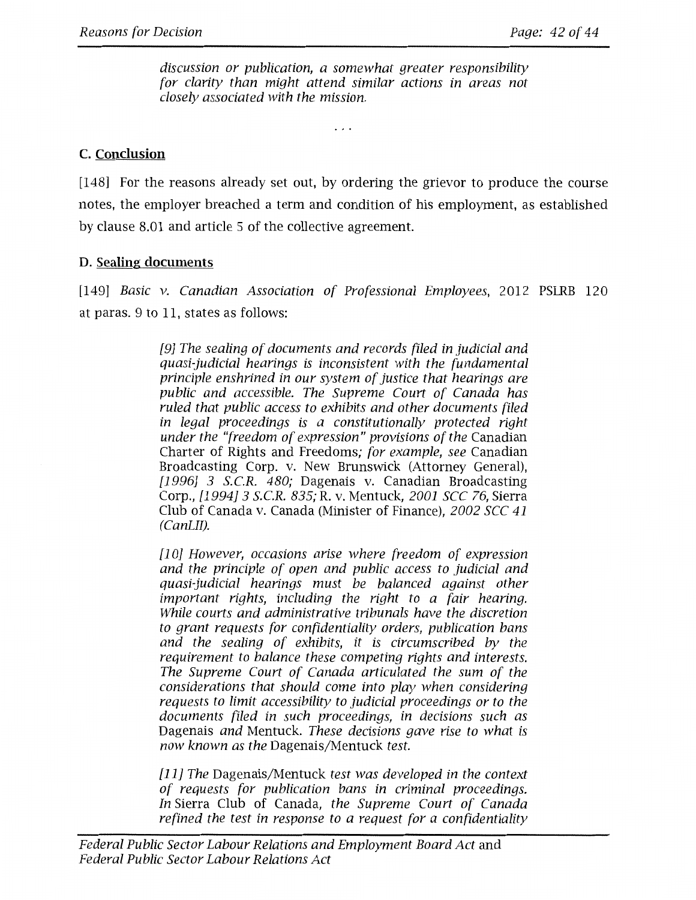*discussion or publication, a somewhat greater responsibility for clarity than might attend similar actions in areas not closely associated with the mission.* 

. . .

# **C. Conclusion**

[148] For the reasons already set out, by ordering the grievor to produce the course notes, the employer breached a term and condition of his employment, as established by clause 8.01 and article 5 of the collective agreement.

# **D. Sealing documents**

[149] *Basic v. Canadian Association of Professional Employees,* 2012 PSLRB 120 at paras. 9 to 11, states as follows:

> *[9] The sealing of documents and records filed in judicial and quasi-judicial hearings is inconsistent with the fundamental principle enshrined in our system of justice that hearings are public and accessible. The Supreme Court of Canada has ruled that public access to exhibits and other documents filed in legal proceedings is a constitutionally protected right under the "freedom of expression" provisions of the* Canadian Charter of Rights and Freedoms; *for example, see* Canadian Broadcasting Corp. v. New Brunswick (Attorney General), *[1996] 3 S.C.R. 480;* Dagenais v. Canadian Broadcasting Corp., *[1994] 3 S.C.R. 835;* R. v. Mentuck, *2001 sec 76,* Sierra Club of Canada v. Canada (Minister of Finance), *2002 sec 41 (CanLII).*

> *[1 OJ However, occasions arise where freedom of expression and the principle of open and public access to judicial and quasi-judicial hearings must be balanced against other important rights, including the right to a fair hearing. While courts and administrative tribunals have the discretion to grant requests for confidentiality orders, publication bans and the sealing of exhibits, it is circumscribed by the requirement to balance these competing rights and interests. The Supreme Court of Canada articulated the sum of the considerations that should come into play when considering requests to limit accessibility to judicial proceedings or to the documents filed in such proceedings, in decisions such as*  Dagenais *and* Mentuck. *These decisions gave rise to what is now known as the* Dagenais/Mentuck *test.*

> *[11] The* Dagenais/Mentuck *test was developed in the context of requests for publication bans in criminal proceedings. In* Sierra Club of Canada, *the Supreme Court of Canada refined the test in response to a request for a confidentiality*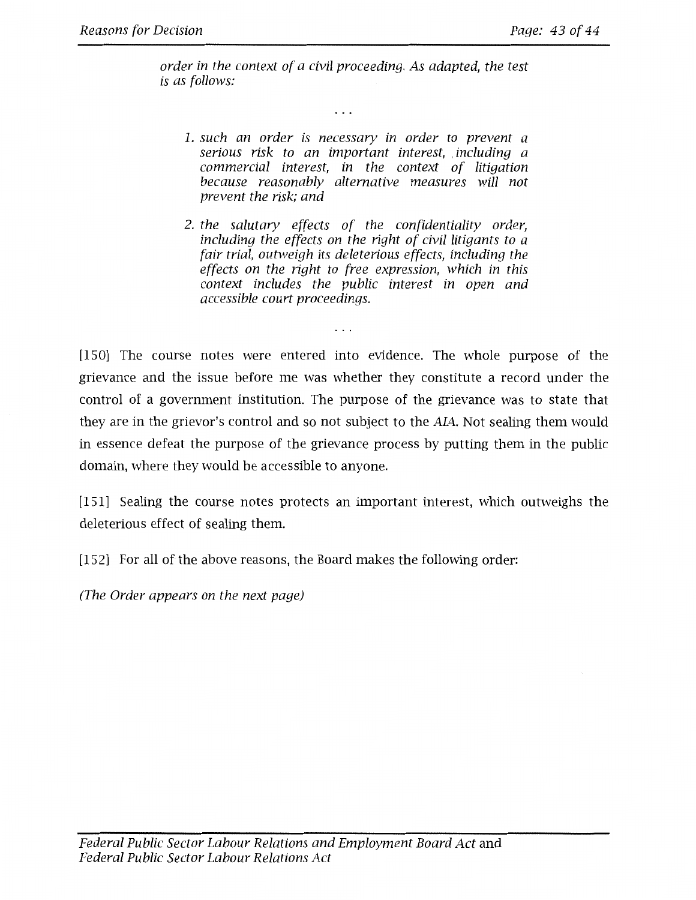*order in the context of a civil proceeding. As adapted, the test is as fallows:* 

. . .

- *1. such an order is necessary in order to prevent a serious risk to an important interest, including a commercial interest, in the context of litigation because reasonably alternative measures will not prevent the risk; and*
- *2. the salutary effects of the confidentiality order, including the effects on the right of civil litigants to a fair trial, outweigh its deleterious effects, including the effects on the right to free expression, which in this context includes the public interest in open and accessible court proceedings.*

[150] The course notes were entered into evidence. The whole purpose of the grievance and the issue before me was whether they constitute a record under the control of a government institution. The purpose of the grievance was to state that they are in the grievor's control and so not subject to the AIA. Not sealing them would in essence defeat the purpose of the grievance process by putting them in the public domain, where they would be accessible to anyone.

[151] Sealing the course notes protects an important interest, which outweighs the deleterious effect of sealing them.

[152] For all of the above reasons, the Board makes the following order:

*(The Order appears on the next page)*